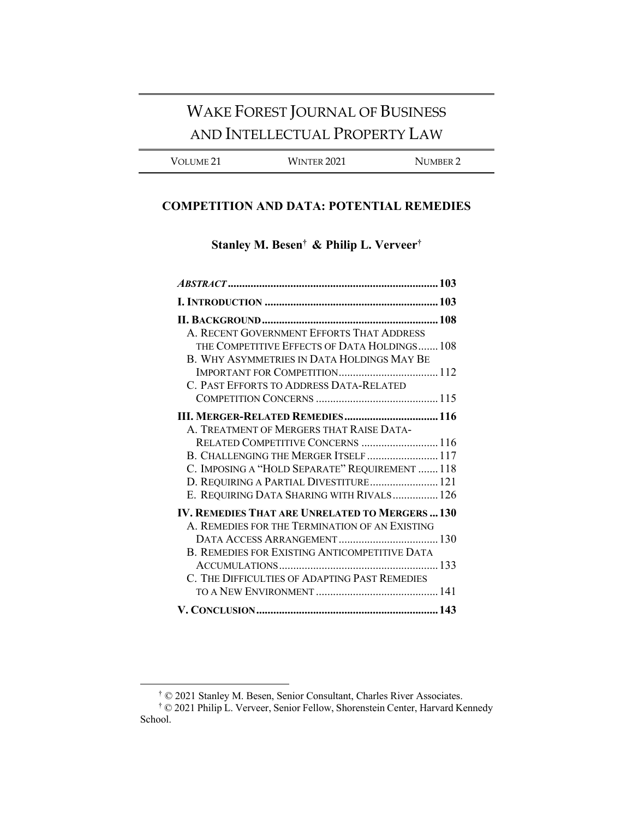# WAKE FOREST JOURNAL OF BUSINESS AND INTELLECTUAL PROPERTY LAW

VOLUME 21 WINTER 2021 NUMBER 2

# **COMPETITION AND DATA: POTENTIAL REMEDIES**

**Stanley M. Besen† & Philip L. Verveer†**

| A. RECENT GOVERNMENT EFFORTS THAT ADDRESS              |  |
|--------------------------------------------------------|--|
| THE COMPETITIVE EFFECTS OF DATA HOLDINGS 108           |  |
| B. WHY ASYMMETRIES IN DATA HOLDINGS MAY BE             |  |
|                                                        |  |
| C. PAST EFFORTS TO ADDRESS DATA-RELATED                |  |
|                                                        |  |
| III. MERGER-RELATED REMEDIES 116                       |  |
| A. TREATMENT OF MERGERS THAT RAISE DATA-               |  |
| RELATED COMPETITIVE CONCERNS  116                      |  |
| B. CHALLENGING THE MERGER ITSELF  117                  |  |
| C. IMPOSING A "HOLD SEPARATE" REQUIREMENT  118         |  |
| D. REQUIRING A PARTIAL DIVESTITURE 121                 |  |
| E. REQUIRING DATA SHARING WITH RIVALS 126              |  |
| <b>IV. REMEDIES THAT ARE UNRELATED TO MERGERS  130</b> |  |
| A. REMEDIES FOR THE TERMINATION OF AN EXISTING         |  |
|                                                        |  |
| B. REMEDIES FOR EXISTING ANTICOMPETITIVE DATA          |  |
|                                                        |  |
| C. THE DIFFICULTIES OF ADAPTING PAST REMEDIES          |  |
|                                                        |  |
|                                                        |  |

<sup>†</sup> © 2021 Stanley M. Besen, Senior Consultant, Charles River Associates.

<sup>†</sup> © 2021 Philip L. Verveer, Senior Fellow, Shorenstein Center, Harvard Kennedy School.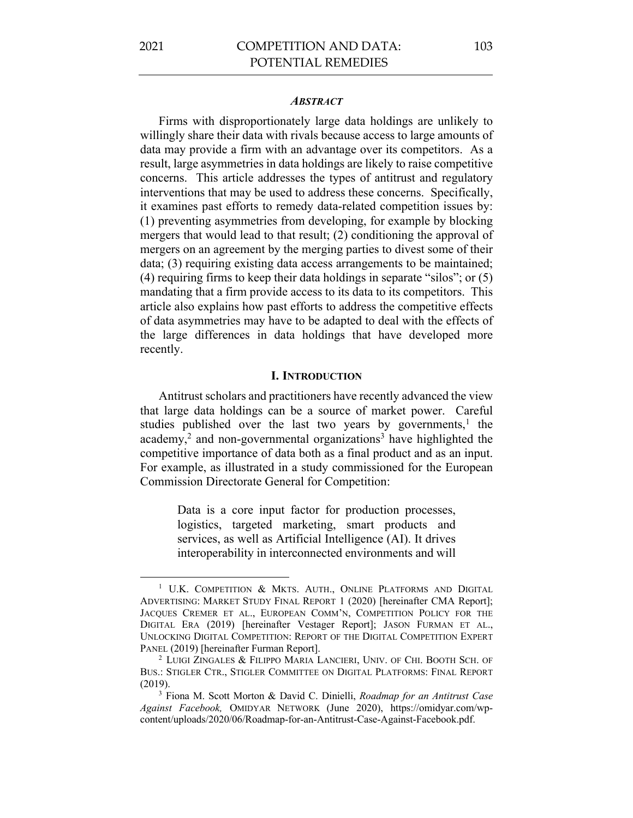#### *ABSTRACT*

Firms with disproportionately large data holdings are unlikely to willingly share their data with rivals because access to large amounts of data may provide a firm with an advantage over its competitors. As a result, large asymmetries in data holdings are likely to raise competitive concerns. This article addresses the types of antitrust and regulatory interventions that may be used to address these concerns. Specifically, it examines past efforts to remedy data-related competition issues by: (1) preventing asymmetries from developing, for example by blocking mergers that would lead to that result; (2) conditioning the approval of mergers on an agreement by the merging parties to divest some of their data; (3) requiring existing data access arrangements to be maintained; (4) requiring firms to keep their data holdings in separate "silos"; or (5) mandating that a firm provide access to its data to its competitors. This article also explains how past efforts to address the competitive effects of data asymmetries may have to be adapted to deal with the effects of the large differences in data holdings that have developed more recently.

#### **I. INTRODUCTION**

Antitrust scholars and practitioners have recently advanced the view that large data holdings can be a source of market power. Careful studies published over the last two years by governments,<sup>1</sup> the academy,<sup>2</sup> and non-governmental organizations<sup>3</sup> have highlighted the competitive importance of data both as a final product and as an input. For example, as illustrated in a study commissioned for the European Commission Directorate General for Competition:

> Data is a core input factor for production processes, logistics, targeted marketing, smart products and services, as well as Artificial Intelligence (AI). It drives interoperability in interconnected environments and will

<sup>&</sup>lt;sup>1</sup> U.K. COMPETITION & MKTS. AUTH., ONLINE PLATFORMS AND DIGITAL ADVERTISING: MARKET STUDY FINAL REPORT 1 (2020) [hereinafter CMA Report]; JACQUES CREMER ET AL., EUROPEAN COMM'N, COMPETITION POLICY FOR THE DIGITAL ERA (2019) [hereinafter Vestager Report]; JASON FURMAN ET AL., UNLOCKING DIGITAL COMPETITION: REPORT OF THE DIGITAL COMPETITION EXPERT PANEL (2019) [hereinafter Furman Report].

<sup>2</sup> LUIGI ZINGALES & FILIPPO MARIA LANCIERI, UNIV. OF CHI. BOOTH SCH. OF BUS.: STIGLER CTR., STIGLER COMMITTEE ON DIGITAL PLATFORMS: FINAL REPORT (2019). 3 Fiona M. Scott Morton & David C. Dinielli, *Roadmap for an Antitrust Case* 

*Against Facebook,* OMIDYAR NETWORK (June 2020), https://omidyar.com/wpcontent/uploads/2020/06/Roadmap-for-an-Antitrust-Case-Against-Facebook.pdf.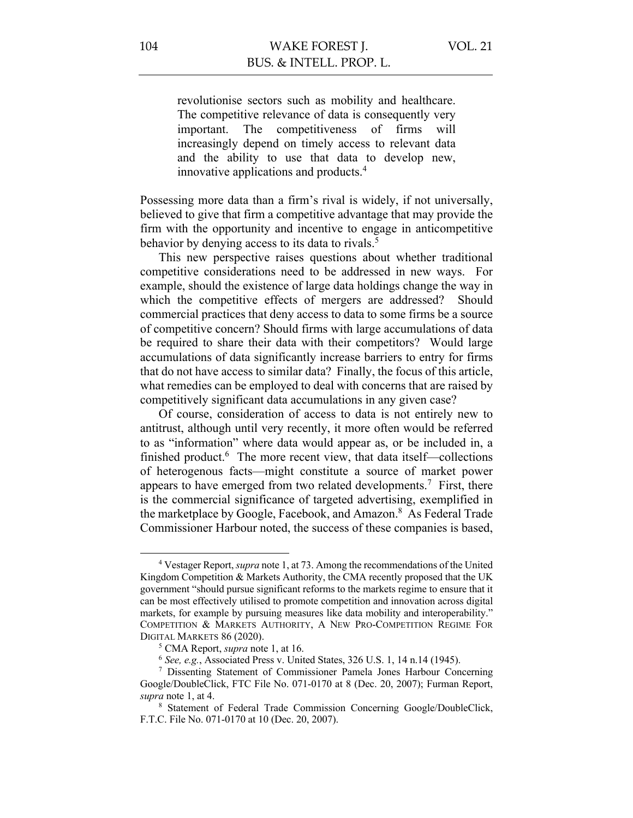revolutionise sectors such as mobility and healthcare. The competitive relevance of data is consequently very important. The competitiveness of firms will increasingly depend on timely access to relevant data and the ability to use that data to develop new, innovative applications and products.4

Possessing more data than a firm's rival is widely, if not universally, believed to give that firm a competitive advantage that may provide the firm with the opportunity and incentive to engage in anticompetitive behavior by denying access to its data to rivals. 5

This new perspective raises questions about whether traditional competitive considerations need to be addressed in new ways. For example, should the existence of large data holdings change the way in which the competitive effects of mergers are addressed? Should commercial practices that deny access to data to some firms be a source of competitive concern? Should firms with large accumulations of data be required to share their data with their competitors? Would large accumulations of data significantly increase barriers to entry for firms that do not have access to similar data? Finally, the focus of this article, what remedies can be employed to deal with concerns that are raised by competitively significant data accumulations in any given case?

Of course, consideration of access to data is not entirely new to antitrust, although until very recently, it more often would be referred to as "information" where data would appear as, or be included in, a finished product.<sup>6</sup> The more recent view, that data itself—collections of heterogenous facts—might constitute a source of market power appears to have emerged from two related developments.<sup>7</sup> First, there is the commercial significance of targeted advertising, exemplified in the marketplace by Google, Facebook, and Amazon.<sup>8</sup> As Federal Trade Commissioner Harbour noted, the success of these companies is based,

<sup>4</sup> Vestager Report, *supra* note 1, at 73. Among the recommendations of the United Kingdom Competition & Markets Authority, the CMA recently proposed that the UK government "should pursue significant reforms to the markets regime to ensure that it can be most effectively utilised to promote competition and innovation across digital markets, for example by pursuing measures like data mobility and interoperability." COMPETITION & MARKETS AUTHORITY, A NEW PRO-COMPETITION REGIME FOR DIGITAL MARKETS 86 (2020).

<sup>5</sup> CMA Report, *supra* note 1, at 16.

<sup>6</sup> *See, e.g.*, Associated Press v. United States, 326 U.S. 1, 14 n.14 (1945).

<sup>7</sup> Dissenting Statement of Commissioner Pamela Jones Harbour Concerning Google/DoubleClick, FTC File No. 071-0170 at 8 (Dec. 20, 2007); Furman Report, *supra* note 1, at 4.

<sup>8</sup> Statement of Federal Trade Commission Concerning Google/DoubleClick, F.T.C. File No. 071-0170 at 10 (Dec. 20, 2007).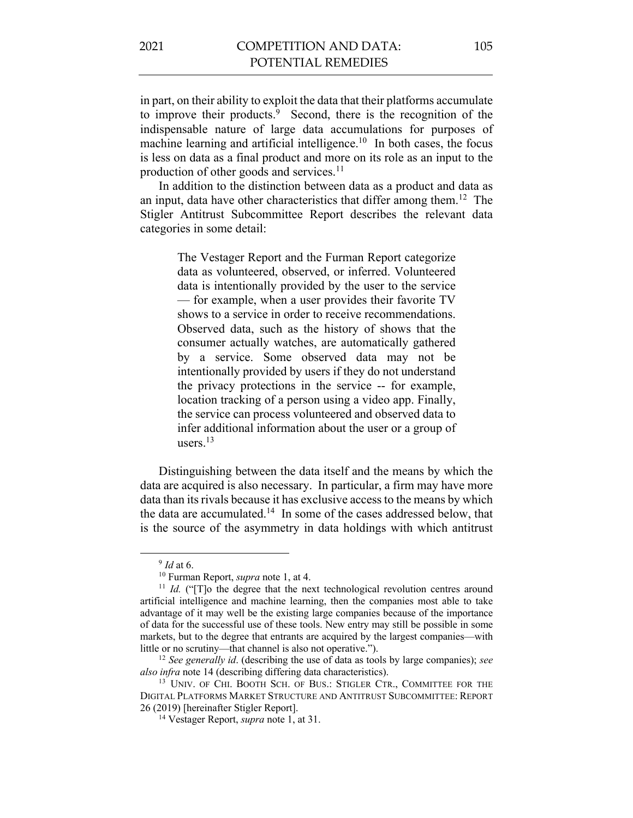in part, on their ability to exploit the data that their platforms accumulate to improve their products.<sup>9</sup> Second, there is the recognition of the indispensable nature of large data accumulations for purposes of machine learning and artificial intelligence.<sup>10</sup> In both cases, the focus is less on data as a final product and more on its role as an input to the production of other goods and services.<sup>11</sup>

In addition to the distinction between data as a product and data as an input, data have other characteristics that differ among them.12 The Stigler Antitrust Subcommittee Report describes the relevant data categories in some detail:

> The Vestager Report and the Furman Report categorize data as volunteered, observed, or inferred. Volunteered data is intentionally provided by the user to the service — for example, when a user provides their favorite TV shows to a service in order to receive recommendations. Observed data, such as the history of shows that the consumer actually watches, are automatically gathered by a service. Some observed data may not be intentionally provided by users if they do not understand the privacy protections in the service -- for example, location tracking of a person using a video app. Finally, the service can process volunteered and observed data to infer additional information about the user or a group of users.13

Distinguishing between the data itself and the means by which the data are acquired is also necessary. In particular, a firm may have more data than its rivals because it has exclusive access to the means by which the data are accumulated.<sup>14</sup> In some of the cases addressed below, that is the source of the asymmetry in data holdings with which antitrust

<sup>9</sup> *Id* at 6. 10 Furman Report, *supra* note 1, at 4.

<sup>&</sup>lt;sup>11</sup> *Id.* ("T]o the degree that the next technological revolution centres around artificial intelligence and machine learning, then the companies most able to take advantage of it may well be the existing large companies because of the importance of data for the successful use of these tools. New entry may still be possible in some markets, but to the degree that entrants are acquired by the largest companies—with little or no scrutiny—that channel is also not operative.").

<sup>12</sup> *See generally id*. (describing the use of data as tools by large companies); *see also infra* note 14 (describing differing data characteristics).

<sup>&</sup>lt;sup>13</sup> UNIV. OF CHI. BOOTH SCH. OF BUS.: STIGLER CTR., COMMITTEE FOR THE DIGITAL PLATFORMS MARKET STRUCTURE AND ANTITRUST SUBCOMMITTEE: REPORT 26 (2019) [hereinafter Stigler Report].

<sup>14</sup> Vestager Report, *supra* note 1, at 31.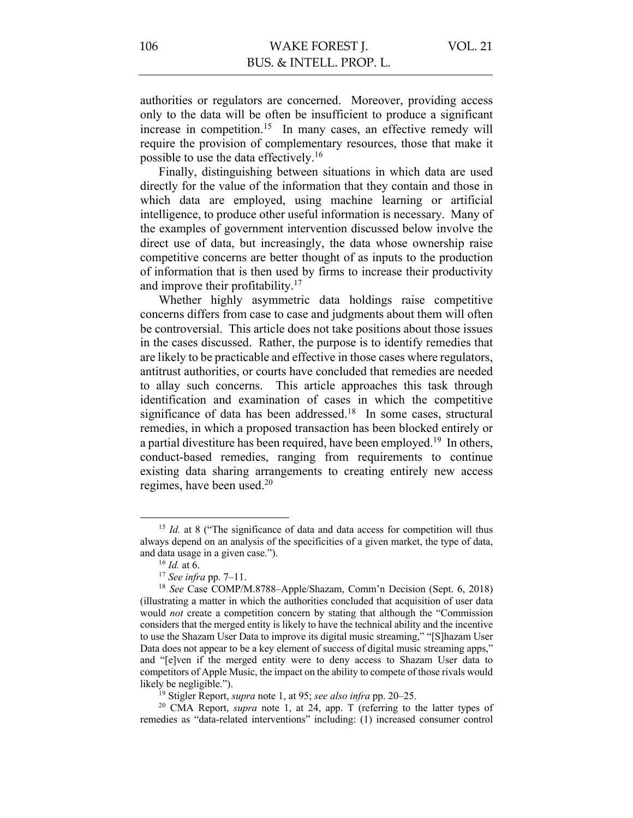authorities or regulators are concerned. Moreover, providing access only to the data will be often be insufficient to produce a significant increase in competition.<sup>15</sup> In many cases, an effective remedy will require the provision of complementary resources, those that make it possible to use the data effectively.16

Finally, distinguishing between situations in which data are used directly for the value of the information that they contain and those in which data are employed, using machine learning or artificial intelligence, to produce other useful information is necessary. Many of the examples of government intervention discussed below involve the direct use of data, but increasingly, the data whose ownership raise competitive concerns are better thought of as inputs to the production of information that is then used by firms to increase their productivity and improve their profitability. $17$ 

Whether highly asymmetric data holdings raise competitive concerns differs from case to case and judgments about them will often be controversial. This article does not take positions about those issues in the cases discussed. Rather, the purpose is to identify remedies that are likely to be practicable and effective in those cases where regulators, antitrust authorities, or courts have concluded that remedies are needed to allay such concerns. This article approaches this task through identification and examination of cases in which the competitive significance of data has been addressed.<sup>18</sup> In some cases, structural remedies, in which a proposed transaction has been blocked entirely or a partial divestiture has been required, have been employed.19 In others, conduct-based remedies, ranging from requirements to continue existing data sharing arrangements to creating entirely new access regimes, have been used.20

<sup>&</sup>lt;sup>15</sup> *Id.* at 8 ("The significance of data and data access for competition will thus always depend on an analysis of the specificities of a given market, the type of data, and data usage in a given case.").

<sup>16</sup> *Id.* at 6.

<sup>17</sup> *See infra* pp. 7–11.

<sup>18</sup> *See* Case COMP/M.8788–Apple/Shazam, Comm'n Decision (Sept. 6, 2018) (illustrating a matter in which the authorities concluded that acquisition of user data would *not* create a competition concern by stating that although the "Commission considers that the merged entity is likely to have the technical ability and the incentive to use the Shazam User Data to improve its digital music streaming," "[S]hazam User Data does not appear to be a key element of success of digital music streaming apps," and "[e]ven if the merged entity were to deny access to Shazam User data to competitors of Apple Music, the impact on the ability to compete of those rivals would likely be negligible.").

<sup>19</sup> Stigler Report, *supra* note 1, at 95; *see also infra* pp. 20–25.

<sup>20</sup> CMA Report, *supra* note 1, at 24, app. T (referring to the latter types of remedies as "data-related interventions" including: (1) increased consumer control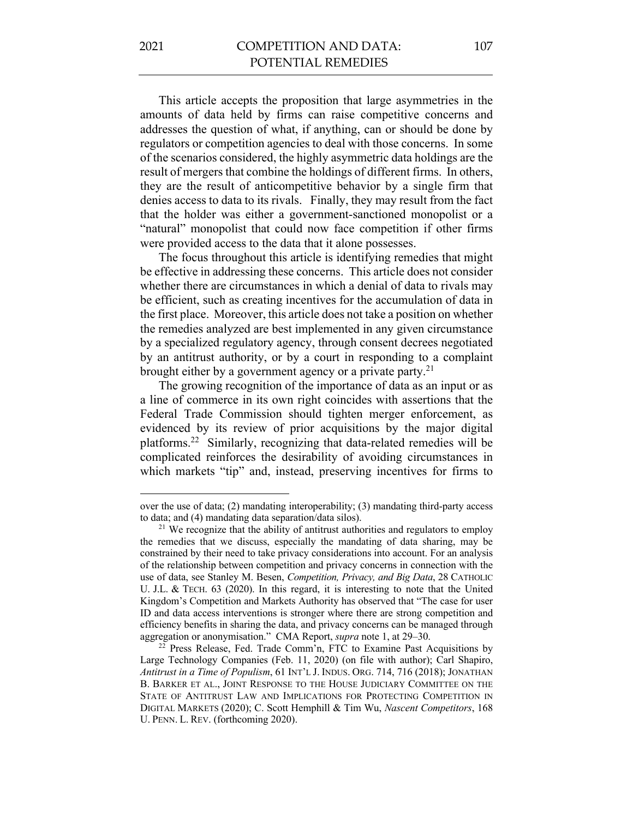This article accepts the proposition that large asymmetries in the amounts of data held by firms can raise competitive concerns and addresses the question of what, if anything, can or should be done by regulators or competition agencies to deal with those concerns. In some of the scenarios considered, the highly asymmetric data holdings are the result of mergers that combine the holdings of different firms. In others, they are the result of anticompetitive behavior by a single firm that denies access to data to its rivals. Finally, they may result from the fact that the holder was either a government-sanctioned monopolist or a "natural" monopolist that could now face competition if other firms were provided access to the data that it alone possesses.

The focus throughout this article is identifying remedies that might be effective in addressing these concerns. This article does not consider whether there are circumstances in which a denial of data to rivals may be efficient, such as creating incentives for the accumulation of data in the first place. Moreover, this article does not take a position on whether the remedies analyzed are best implemented in any given circumstance by a specialized regulatory agency, through consent decrees negotiated by an antitrust authority, or by a court in responding to a complaint brought either by a government agency or a private party.<sup>21</sup>

The growing recognition of the importance of data as an input or as a line of commerce in its own right coincides with assertions that the Federal Trade Commission should tighten merger enforcement, as evidenced by its review of prior acquisitions by the major digital platforms.22 Similarly, recognizing that data-related remedies will be complicated reinforces the desirability of avoiding circumstances in which markets "tip" and, instead, preserving incentives for firms to

over the use of data; (2) mandating interoperability; (3) mandating third-party access to data; and (4) mandating data separation/data silos).

<sup>&</sup>lt;sup>21</sup> We recognize that the ability of antitrust authorities and regulators to employ the remedies that we discuss, especially the mandating of data sharing, may be constrained by their need to take privacy considerations into account. For an analysis of the relationship between competition and privacy concerns in connection with the use of data, see Stanley M. Besen, *Competition, Privacy, and Big Data*, 28 CATHOLIC U. J.L. & TECH. 63 (2020). In this regard, it is interesting to note that the United Kingdom's Competition and Markets Authority has observed that "The case for user ID and data access interventions is stronger where there are strong competition and efficiency benefits in sharing the data, and privacy concerns can be managed through aggregation or anonymisation." CMA Report, *supra* note 1, at 29–30.

<sup>&</sup>lt;sup>22</sup> Press Release, Fed. Trade Comm'n, FTC to Examine Past Acquisitions by Large Technology Companies (Feb. 11, 2020) (on file with author); Carl Shapiro, *Antitrust in a Time of Populism*, 61 INT'L J. INDUS. ORG. 714, 716 (2018); JONATHAN B. BARKER ET AL., JOINT RESPONSE TO THE HOUSE JUDICIARY COMMITTEE ON THE STATE OF ANTITRUST LAW AND IMPLICATIONS FOR PROTECTING COMPETITION IN DIGITAL MARKETS (2020); C. Scott Hemphill & Tim Wu, *Nascent Competitors*, 168 U. PENN. L. REV. (forthcoming 2020).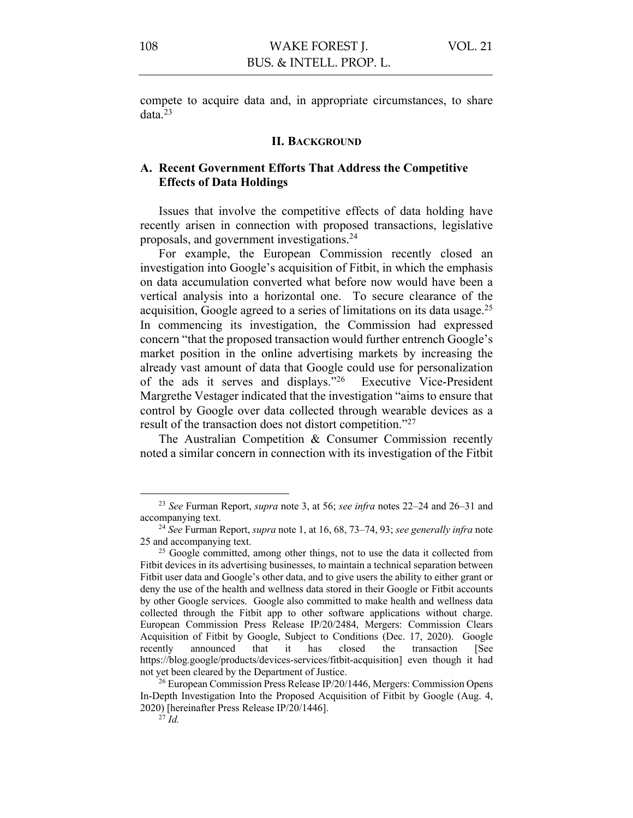compete to acquire data and, in appropriate circumstances, to share data.23

#### **II. BACKGROUND**

# **A. Recent Government Efforts That Address the Competitive Effects of Data Holdings**

Issues that involve the competitive effects of data holding have recently arisen in connection with proposed transactions, legislative proposals, and government investigations.24

For example, the European Commission recently closed an investigation into Google's acquisition of Fitbit, in which the emphasis on data accumulation converted what before now would have been a vertical analysis into a horizontal one. To secure clearance of the acquisition, Google agreed to a series of limitations on its data usage.25 In commencing its investigation, the Commission had expressed concern "that the proposed transaction would further entrench Google's market position in the online advertising markets by increasing the already vast amount of data that Google could use for personalization of the ads it serves and displays."26 Executive Vice-President Margrethe Vestager indicated that the investigation "aims to ensure that control by Google over data collected through wearable devices as a result of the transaction does not distort competition."27

The Australian Competition & Consumer Commission recently noted a similar concern in connection with its investigation of the Fitbit

<sup>23</sup> *See* Furman Report, *supra* note 3, at 56; *see infra* notes 22–24 and 26–31 and accompanying text.

<sup>24</sup> *See* Furman Report, *supra* note 1, at 16, 68, 73–74, 93; *see generally infra* note 25 and accompanying text.

<sup>&</sup>lt;sup>25</sup> Google committed, among other things, not to use the data it collected from Fitbit devices in its advertising businesses, to maintain a technical separation between Fitbit user data and Google's other data, and to give users the ability to either grant or deny the use of the health and wellness data stored in their Google or Fitbit accounts by other Google services. Google also committed to make health and wellness data collected through the Fitbit app to other software applications without charge. European Commission Press Release IP/20/2484, Mergers: Commission Clears Acquisition of Fitbit by Google, Subject to Conditions (Dec. 17, 2020). Google recently announced that it has closed the transaction [See https://blog.google/products/devices-services/fitbit-acquisition] even though it had not yet been cleared by the Department of Justice.

<sup>&</sup>lt;sup>26</sup> European Commission Press Release IP/20/1446, Mergers: Commission Opens In-Depth Investigation Into the Proposed Acquisition of Fitbit by Google (Aug. 4, 2020) [hereinafter Press Release IP/20/1446].

 $^{27}$ *Id.*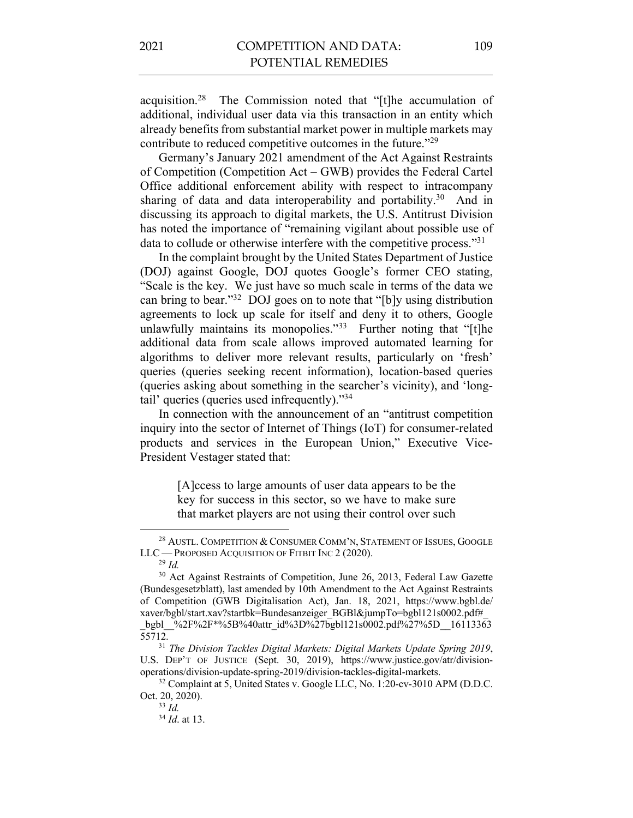acquisition.28 The Commission noted that "[t]he accumulation of additional, individual user data via this transaction in an entity which already benefits from substantial market power in multiple markets may contribute to reduced competitive outcomes in the future."29

Germany's January 2021 amendment of the Act Against Restraints of Competition (Competition Act – GWB) provides the Federal Cartel Office additional enforcement ability with respect to intracompany sharing of data and data interoperability and portability.<sup>30</sup> And in discussing its approach to digital markets, the U.S. Antitrust Division has noted the importance of "remaining vigilant about possible use of data to collude or otherwise interfere with the competitive process."31

In the complaint brought by the United States Department of Justice (DOJ) against Google, DOJ quotes Google's former CEO stating, "Scale is the key. We just have so much scale in terms of the data we can bring to bear."32 DOJ goes on to note that "[b]y using distribution agreements to lock up scale for itself and deny it to others, Google unlawfully maintains its monopolies." $33$  Further noting that "[t]he additional data from scale allows improved automated learning for algorithms to deliver more relevant results, particularly on 'fresh' queries (queries seeking recent information), location-based queries (queries asking about something in the searcher's vicinity), and 'longtail' queries (queries used infrequently)."34

In connection with the announcement of an "antitrust competition inquiry into the sector of Internet of Things (IoT) for consumer-related products and services in the European Union," Executive Vice-President Vestager stated that:

> [A]ccess to large amounts of user data appears to be the key for success in this sector, so we have to make sure that market players are not using their control over such

<sup>&</sup>lt;sup>28</sup> AUSTL. COMPETITION & CONSUMER COMM'N, STATEMENT OF ISSUES, GOOGLE LLC — PROPOSED ACQUISITION OF FITBIT INC 2 (2020).

<sup>29</sup> *Id.* 

<sup>&</sup>lt;sup>30</sup> Act Against Restraints of Competition, June 26, 2013, Federal Law Gazette (Bundesgesetzblatt), last amended by 10th Amendment to the Act Against Restraints of Competition (GWB Digitalisation Act), Jan. 18, 2021, https://www.bgbl.de/ xaver/bgbl/start.xav?startbk=Bundesanzeiger\_BGBl&jumpTo=bgbl121s0002.pdf# \_bgbl\_\_%2F%2F\*%5B%40attr\_id%3D%27bgbl121s0002.pdf%27%5D\_\_16113363 55712.

<sup>31</sup> *The Division Tackles Digital Markets: Digital Markets Update Spring 2019*, U.S. DEP'T OF JUSTICE (Sept. 30, 2019), https://www.justice.gov/atr/divisionoperations/division-update-spring-2019/division-tackles-digital-markets.

<sup>&</sup>lt;sup>32</sup> Complaint at 5, United States v. Google LLC, No. 1:20-cv-3010 APM (D.D.C. Oct. 20, 2020).

<sup>33</sup> *Id.*

<sup>34</sup> *Id*. at 13.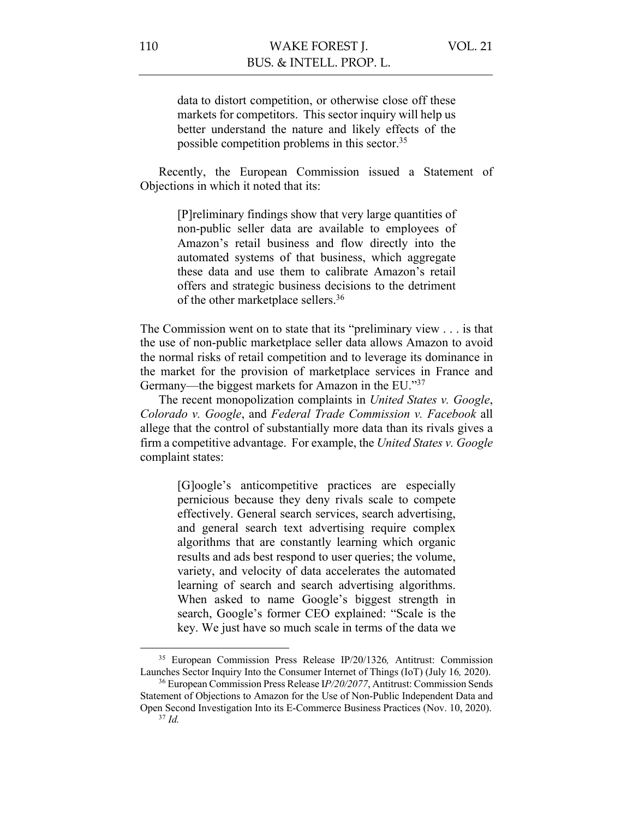data to distort competition, or otherwise close off these markets for competitors. This sector inquiry will help us better understand the nature and likely effects of the possible competition problems in this sector.35

Recently, the European Commission issued a Statement of Objections in which it noted that its:

> [P]reliminary findings show that very large quantities of non-public seller data are available to employees of Amazon's retail business and flow directly into the automated systems of that business, which aggregate these data and use them to calibrate Amazon's retail offers and strategic business decisions to the detriment of the other marketplace sellers.36

The Commission went on to state that its "preliminary view . . . is that the use of non-public marketplace seller data allows Amazon to avoid the normal risks of retail competition and to leverage its dominance in the market for the provision of marketplace services in France and Germany—the biggest markets for Amazon in the EU."37

The recent monopolization complaints in *United States v. Google*, *Colorado v. Google*, and *Federal Trade Commission v. Facebook* all allege that the control of substantially more data than its rivals gives a firm a competitive advantage. For example, the *United States v. Google* complaint states:

> [G]oogle's anticompetitive practices are especially pernicious because they deny rivals scale to compete effectively. General search services, search advertising, and general search text advertising require complex algorithms that are constantly learning which organic results and ads best respond to user queries; the volume, variety, and velocity of data accelerates the automated learning of search and search advertising algorithms. When asked to name Google's biggest strength in search, Google's former CEO explained: "Scale is the key. We just have so much scale in terms of the data we

<sup>35</sup> European Commission Press Release IP/20/1326*,* Antitrust: Commission Launches Sector Inquiry Into the Consumer Internet of Things (IoT) (July 16*,* 2020).

<sup>36</sup> European Commission Press Release I*P/20/2077*, Antitrust: Commission Sends Statement of Objections to Amazon for the Use of Non-Public Independent Data and Open Second Investigation Into its E-Commerce Business Practices (Nov. 10, 2020). <sup>37</sup> *Id.*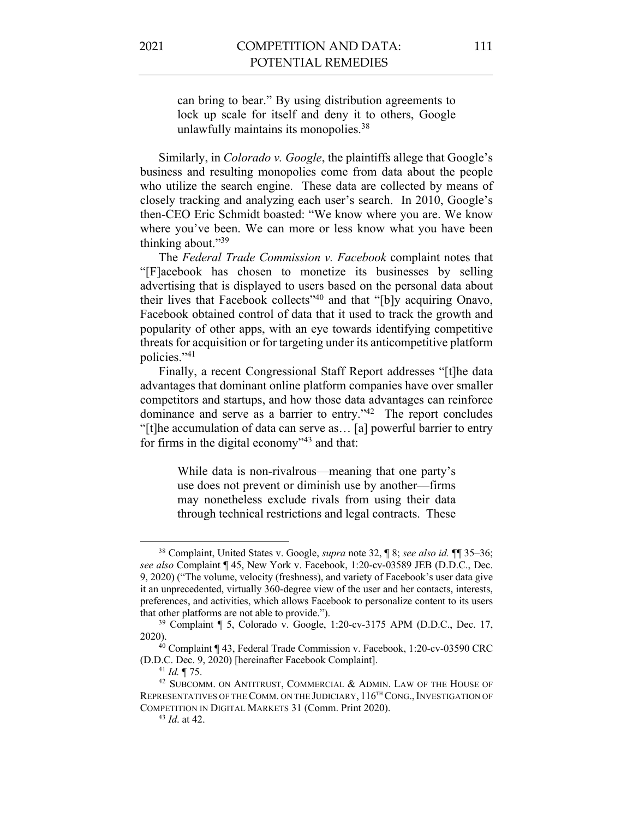can bring to bear." By using distribution agreements to lock up scale for itself and deny it to others, Google unlawfully maintains its monopolies.<sup>38</sup>

Similarly, in *Colorado v. Google*, the plaintiffs allege that Google's business and resulting monopolies come from data about the people who utilize the search engine. These data are collected by means of closely tracking and analyzing each user's search. In 2010, Google's then-CEO Eric Schmidt boasted: "We know where you are. We know where you've been. We can more or less know what you have been thinking about."39

The *Federal Trade Commission v. Facebook* complaint notes that "[F]acebook has chosen to monetize its businesses by selling advertising that is displayed to users based on the personal data about their lives that Facebook collects"40 and that "[b]y acquiring Onavo, Facebook obtained control of data that it used to track the growth and popularity of other apps, with an eye towards identifying competitive threats for acquisition or for targeting under its anticompetitive platform policies."41

Finally, a recent Congressional Staff Report addresses "[t]he data advantages that dominant online platform companies have over smaller competitors and startups, and how those data advantages can reinforce dominance and serve as a barrier to entry."42 The report concludes "[t]he accumulation of data can serve as… [a] powerful barrier to entry for firms in the digital economy"43 and that:

> While data is non-rivalrous—meaning that one party's use does not prevent or diminish use by another—firms may nonetheless exclude rivals from using their data through technical restrictions and legal contracts. These

<sup>38</sup> Complaint, United States v. Google, *supra* note 32, ¶ 8; *see also id.* ¶¶ 35–36; *see also* Complaint ¶ 45, New York v. Facebook, 1:20-cv-03589 JEB (D.D.C., Dec. 9, 2020) ("The volume, velocity (freshness), and variety of Facebook's user data give it an unprecedented, virtually 360-degree view of the user and her contacts, interests, preferences, and activities, which allows Facebook to personalize content to its users that other platforms are not able to provide.").

<sup>39</sup> Complaint ¶ 5, Colorado v. Google, 1:20-cv-3175 APM (D.D.C., Dec. 17, 2020).

<sup>&</sup>lt;sup>40</sup> Complaint ¶ 43, Federal Trade Commission v. Facebook, 1:20-cv-03590 CRC (D.D.C. Dec. 9, 2020) [hereinafter Facebook Complaint].

<sup>41</sup> *Id.* ¶ 75.

<sup>&</sup>lt;sup>42</sup> SUBCOMM. ON ANTITRUST, COMMERCIAL & ADMIN. LAW OF THE HOUSE OF REPRESENTATIVES OF THE COMM. ON THE JUDICIARY,  $116^{th}$  CONG., INVESTIGATION OF COMPETITION IN DIGITAL MARKETS 31 (Comm. Print 2020).

<sup>43</sup> *Id*. at 42.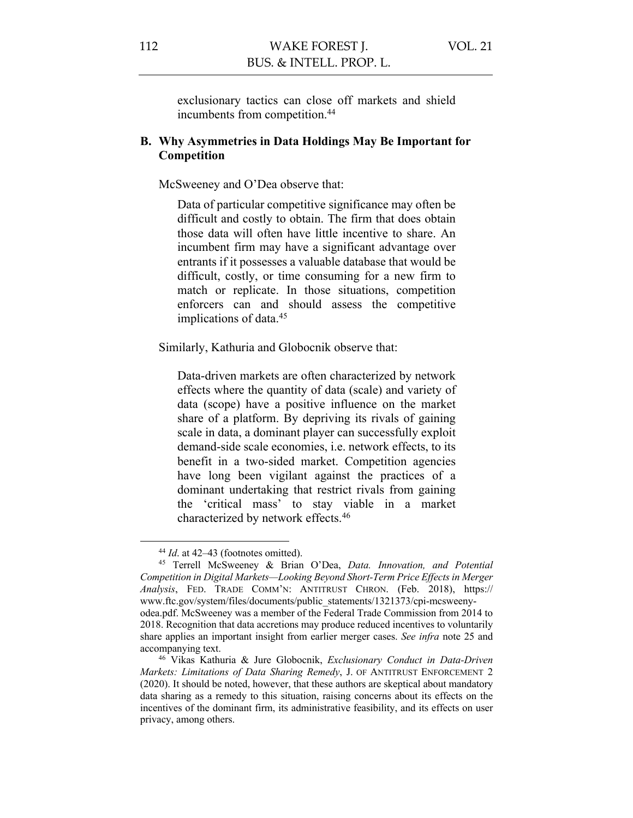exclusionary tactics can close off markets and shield incumbents from competition.<sup>44</sup>

# **B. Why Asymmetries in Data Holdings May Be Important for Competition**

McSweeney and O'Dea observe that:

Data of particular competitive significance may often be difficult and costly to obtain. The firm that does obtain those data will often have little incentive to share. An incumbent firm may have a significant advantage over entrants if it possesses a valuable database that would be difficult, costly, or time consuming for a new firm to match or replicate. In those situations, competition enforcers can and should assess the competitive implications of data.45

Similarly, Kathuria and Globocnik observe that:

Data-driven markets are often characterized by network effects where the quantity of data (scale) and variety of data (scope) have a positive influence on the market share of a platform. By depriving its rivals of gaining scale in data, a dominant player can successfully exploit demand-side scale economies, i.e. network effects, to its benefit in a two-sided market. Competition agencies have long been vigilant against the practices of a dominant undertaking that restrict rivals from gaining the 'critical mass' to stay viable in a market characterized by network effects.46

<sup>44</sup> *Id*. at 42–43 (footnotes omitted).

<sup>45</sup> Terrell McSweeney & Brian O'Dea, *Data. Innovation, and Potential Competition in Digital Markets—Looking Beyond Short-Term Price Effects in Merger Analysis*, FED. TRADE COMM'N: ANTITRUST CHRON. (Feb. 2018), https:// www.ftc.gov/system/files/documents/public\_statements/1321373/cpi-mcsweenyodea.pdf. McSweeney was a member of the Federal Trade Commission from 2014 to 2018. Recognition that data accretions may produce reduced incentives to voluntarily share applies an important insight from earlier merger cases. *See infra* note 25 and accompanying text.

<sup>46</sup> Vikas Kathuria & Jure Globocnik, *Exclusionary Conduct in Data-Driven Markets: Limitations of Data Sharing Remedy*, J. OF ANTITRUST ENFORCEMENT 2 (2020). It should be noted, however, that these authors are skeptical about mandatory data sharing as a remedy to this situation, raising concerns about its effects on the incentives of the dominant firm, its administrative feasibility, and its effects on user privacy, among others.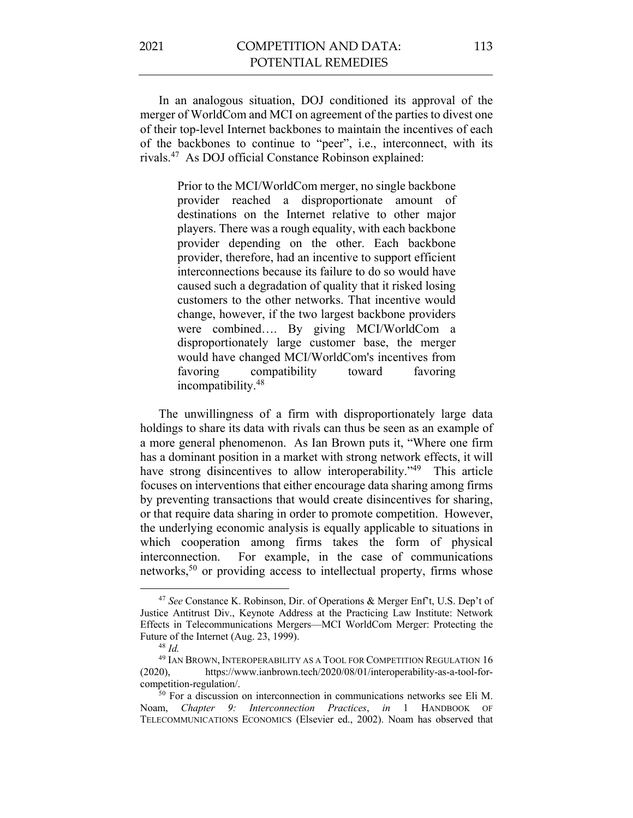In an analogous situation, DOJ conditioned its approval of the merger of WorldCom and MCI on agreement of the parties to divest one of their top-level Internet backbones to maintain the incentives of each of the backbones to continue to "peer", i.e., interconnect, with its rivals. 47 As DOJ official Constance Robinson explained:

> Prior to the MCI/WorldCom merger, no single backbone provider reached a disproportionate amount of destinations on the Internet relative to other major players. There was a rough equality, with each backbone provider depending on the other. Each backbone provider, therefore, had an incentive to support efficient interconnections because its failure to do so would have caused such a degradation of quality that it risked losing customers to the other networks. That incentive would change, however, if the two largest backbone providers were combined…. By giving MCI/WorldCom a disproportionately large customer base, the merger would have changed MCI/WorldCom's incentives from favoring compatibility toward favoring incompatibility.48

The unwillingness of a firm with disproportionately large data holdings to share its data with rivals can thus be seen as an example of a more general phenomenon. As Ian Brown puts it, "Where one firm has a dominant position in a market with strong network effects, it will have strong disincentives to allow interoperability."<sup>49</sup> This article focuses on interventions that either encourage data sharing among firms by preventing transactions that would create disincentives for sharing, or that require data sharing in order to promote competition. However, the underlying economic analysis is equally applicable to situations in which cooperation among firms takes the form of physical interconnection. For example, in the case of communications networks,<sup>50</sup> or providing access to intellectual property, firms whose

<sup>47</sup> *See* Constance K. Robinson, Dir. of Operations & Merger Enf't, U.S. Dep't of Justice Antitrust Div., Keynote Address at the Practicing Law Institute: Network Effects in Telecommunications Mergers—MCI WorldCom Merger: Protecting the Future of the Internet (Aug. 23, 1999).

<sup>48</sup> *Id.* 

<sup>49</sup> IAN BROWN, INTEROPERABILITY AS A TOOL FOR COMPETITION REGULATION 16 (2020), https://www.ianbrown.tech/2020/08/01/interoperability-as-a-tool-forcompetition-regulation/.

<sup>&</sup>lt;sup>50</sup> For a discussion on interconnection in communications networks see Eli M. Noam, *Chapter 9: Interconnection Practices*, *in* 1 HANDBOOK OF TELECOMMUNICATIONS ECONOMICS (Elsevier ed., 2002). Noam has observed that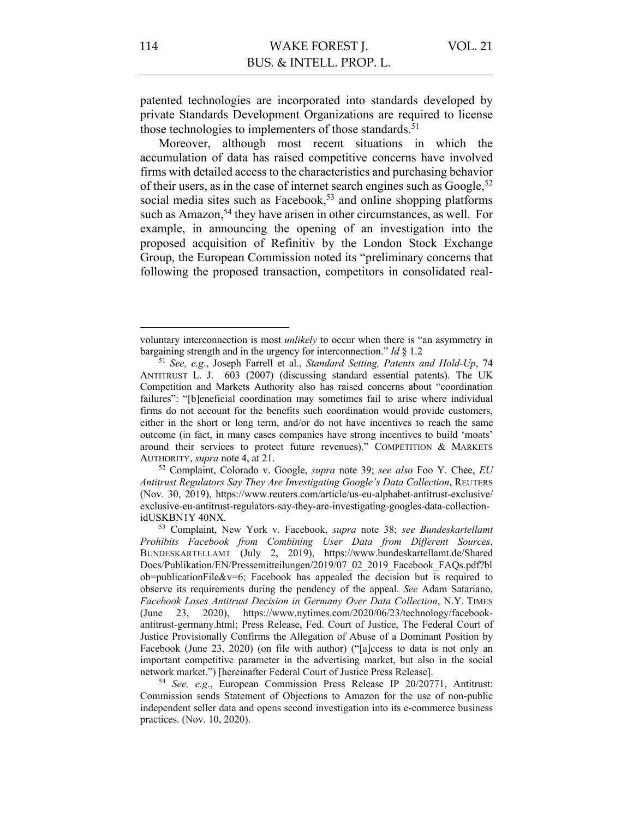patented technologies are incorporated into standards developed by private Standards Development Organizations are required to license those technologies to implementers of those standards.<sup>51</sup>

Moreover, although most recent situations in which the accumulation of data has raised competitive concerns have involved firms with detailed access to the characteristics and purchasing behavior of their users, as in the case of internet search engines such as  $Google<sup>52</sup>$ social media sites such as Facebook,<sup>53</sup> and online shopping platforms such as Amazon,<sup>54</sup> they have arisen in other circumstances, as well. For example, in announcing the opening of an investigation into the proposed acquisition of Refinitiv by the London Stock Exchange Group, the European Commission noted its "preliminary concerns that following the proposed transaction, competitors in consolidated real-

voluntary interconnection is most *unlikely* to occur when there is "an asymmetry in bargaining strength and in the urgency for interconnection." *Id* § 1.2

<sup>51</sup> *See, e.g*., Joseph Farrell et al., *Standard Setting, Patents and Hold-Up*, 74 ANTITRUST L. J. 603 (2007) (discussing standard essential patents). The UK Competition and Markets Authority also has raised concerns about "coordination failures": "[b]eneficial coordination may sometimes fail to arise where individual firms do not account for the benefits such coordination would provide customers, either in the short or long term, and/or do not have incentives to reach the same outcome (in fact, in many cases companies have strong incentives to build 'moats' around their services to protect future revenues)." COMPETITION & MARKETS AUTHORITY, *supra* note 4, at 21.

<sup>52</sup> Complaint, Colorado v. Google, *supra* note 39; *see also* Foo Y. Chee, *EU Antitrust Regulators Say They Are Investigating Google's Data Collection*, REUTERS (Nov. 30, 2019), https://www.reuters.com/article/us-eu-alphabet-antitrust-exclusive/ exclusive-eu-antitrust-regulators-say-they-are-investigating-googles-data-collectionidUSKBN1Y 40NX.

<sup>53</sup> Complaint, New York v. Facebook, *supra* note 38; *see Bundeskartellamt Prohibits Facebook from Combining User Data from Different Sources*, BUNDESKARTELLAMT (July 2, 2019), https://www.bundeskartellamt.de/Shared Docs/Publikation/EN/Pressemitteilungen/2019/07\_02\_2019\_Facebook\_FAQs.pdf?bl ob=publicationFile&v=6; Facebook has appealed the decision but is required to observe its requirements during the pendency of the appeal. *See* Adam Satariano, *Facebook Loses Antitrust Decision in Germany Over Data Collection*, N.Y. TIMES (June 23, 2020), https://www.nytimes.com/2020/06/23/technology/facebookantitrust-germany.html; Press Release, Fed. Court of Justice, The Federal Court of Justice Provisionally Confirms the Allegation of Abuse of a Dominant Position by Facebook (June 23, 2020) (on file with author) ("[a]ccess to data is not only an important competitive parameter in the advertising market, but also in the social network market.") [hereinafter Federal Court of Justice Press Release].

<sup>54</sup> *See, e.g*., European Commission Press Release IP 20/20771, Antitrust: Commission sends Statement of Objections to Amazon for the use of non-public independent seller data and opens second investigation into its e-commerce business practices. (Nov. 10, 2020).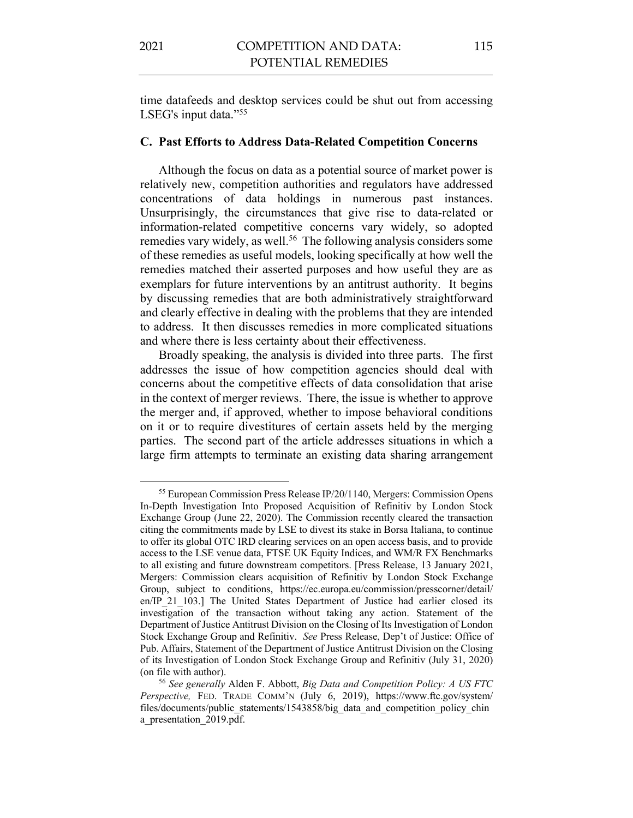time datafeeds and desktop services could be shut out from accessing

#### **C. Past Efforts to Address Data-Related Competition Concerns**

Although the focus on data as a potential source of market power is relatively new, competition authorities and regulators have addressed concentrations of data holdings in numerous past instances. Unsurprisingly, the circumstances that give rise to data-related or information-related competitive concerns vary widely, so adopted remedies vary widely, as well.<sup>56</sup> The following analysis considers some of these remedies as useful models, looking specifically at how well the remedies matched their asserted purposes and how useful they are as exemplars for future interventions by an antitrust authority. It begins by discussing remedies that are both administratively straightforward and clearly effective in dealing with the problems that they are intended to address. It then discusses remedies in more complicated situations and where there is less certainty about their effectiveness.

Broadly speaking, the analysis is divided into three parts. The first addresses the issue of how competition agencies should deal with concerns about the competitive effects of data consolidation that arise in the context of merger reviews. There, the issue is whether to approve the merger and, if approved, whether to impose behavioral conditions on it or to require divestitures of certain assets held by the merging parties. The second part of the article addresses situations in which a large firm attempts to terminate an existing data sharing arrangement

LSEG's input data."<sup>55</sup>

<sup>55</sup> European Commission Press Release IP/20/1140, Mergers: Commission Opens In-Depth Investigation Into Proposed Acquisition of Refinitiv by London Stock Exchange Group (June 22, 2020). The Commission recently cleared the transaction citing the commitments made by LSE to divest its stake in Borsa Italiana, to continue to offer its global OTC IRD clearing services on an open access basis, and to provide access to the LSE venue data, FTSE UK Equity Indices, and WM/R FX Benchmarks to all existing and future downstream competitors. [Press Release, 13 January 2021, Mergers: Commission clears acquisition of Refinitiv by London Stock Exchange Group, subject to conditions, https://ec.europa.eu/commission/presscorner/detail/ en/IP\_21\_103.] The United States Department of Justice had earlier closed its investigation of the transaction without taking any action. Statement of the Department of Justice Antitrust Division on the Closing of Its Investigation of London Stock Exchange Group and Refinitiv. *See* Press Release, Dep't of Justice: Office of Pub. Affairs, Statement of the Department of Justice Antitrust Division on the Closing of its Investigation of London Stock Exchange Group and Refinitiv (July 31, 2020) (on file with author).

<sup>56</sup> *See generally* Alden F. Abbott, *Big Data and Competition Policy: A US FTC Perspective,* FED. TRADE COMM'N (July 6, 2019), https://www.ftc.gov/system/ files/documents/public\_statements/1543858/big\_data\_and\_competition\_policy\_chin a presentation 2019.pdf.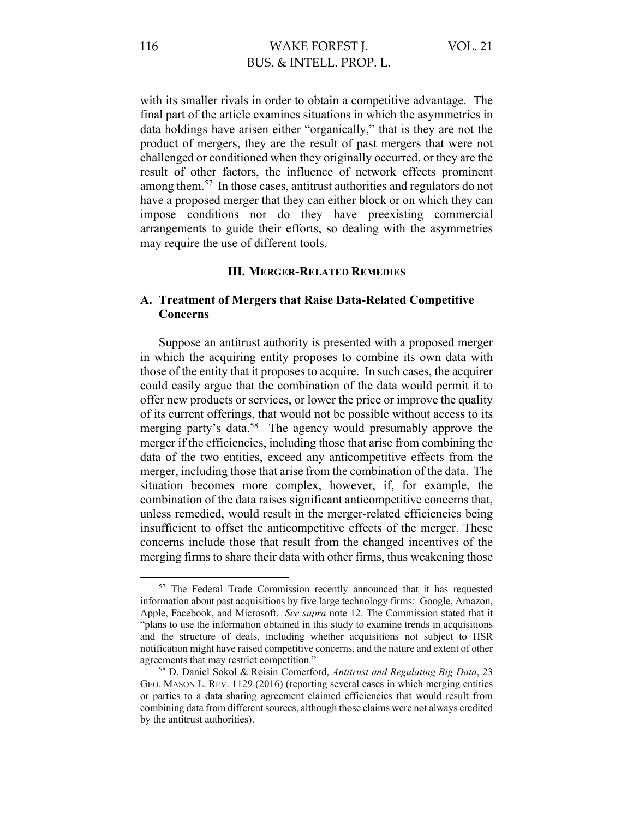with its smaller rivals in order to obtain a competitive advantage. The final part of the article examines situations in which the asymmetries in data holdings have arisen either "organically," that is they are not the product of mergers, they are the result of past mergers that were not challenged or conditioned when they originally occurred, or they are the result of other factors, the influence of network effects prominent among them.<sup>57</sup> In those cases, antitrust authorities and regulators do not have a proposed merger that they can either block or on which they can impose conditions nor do they have preexisting commercial arrangements to guide their efforts, so dealing with the asymmetries may require the use of different tools.

## **III. MERGER-RELATED REMEDIES**

# **A. Treatment of Mergers that Raise Data-Related Competitive Concerns**

Suppose an antitrust authority is presented with a proposed merger in which the acquiring entity proposes to combine its own data with those of the entity that it proposes to acquire. In such cases, the acquirer could easily argue that the combination of the data would permit it to offer new products or services, or lower the price or improve the quality of its current offerings, that would not be possible without access to its merging party's data.<sup>58</sup> The agency would presumably approve the merger if the efficiencies, including those that arise from combining the data of the two entities, exceed any anticompetitive effects from the merger, including those that arise from the combination of the data. The situation becomes more complex, however, if, for example, the combination of the data raises significant anticompetitive concerns that, unless remedied, would result in the merger-related efficiencies being insufficient to offset the anticompetitive effects of the merger. These concerns include those that result from the changed incentives of the merging firms to share their data with other firms, thus weakening those

<sup>&</sup>lt;sup>57</sup> The Federal Trade Commission recently announced that it has requested information about past acquisitions by five large technology firms: Google, Amazon, Apple, Facebook, and Microsoft. *See supra* note 12. The Commission stated that it "plans to use the information obtained in this study to examine trends in acquisitions and the structure of deals, including whether acquisitions not subject to HSR notification might have raised competitive concerns, and the nature and extent of other agreements that may restrict competition."

<sup>58</sup> D. Daniel Sokol & Roisin Comerford, *Antitrust and Regulating Big Data*, 23 GEO. MASON L. REV. 1129 (2016) (reporting several cases in which merging entities or parties to a data sharing agreement claimed efficiencies that would result from combining data from different sources, although those claims were not always credited by the antitrust authorities).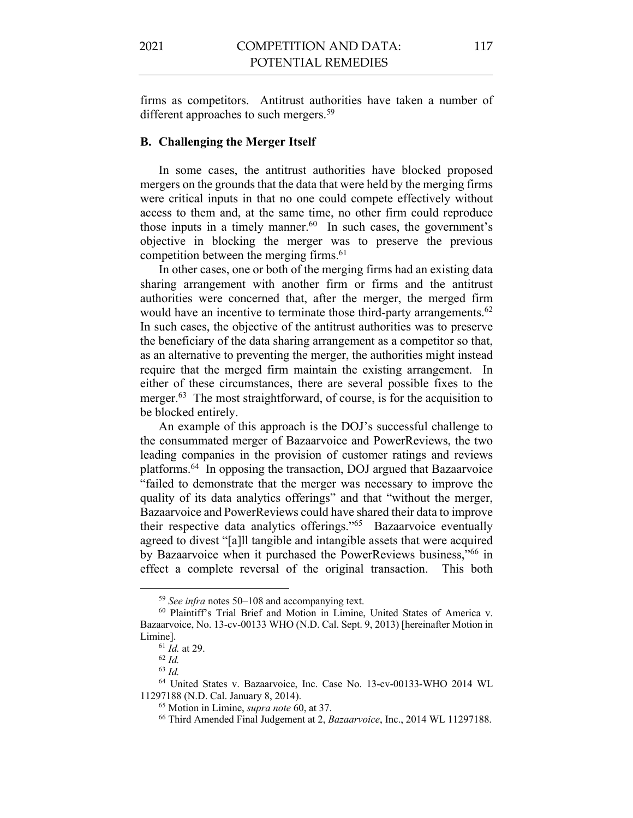firms as competitors. Antitrust authorities have taken a number of different approaches to such mergers.<sup>59</sup>

#### **B. Challenging the Merger Itself**

In some cases, the antitrust authorities have blocked proposed mergers on the grounds that the data that were held by the merging firms were critical inputs in that no one could compete effectively without access to them and, at the same time, no other firm could reproduce those inputs in a timely manner. <sup>60</sup> In such cases, the government's objective in blocking the merger was to preserve the previous competition between the merging firms.<sup>61</sup>

In other cases, one or both of the merging firms had an existing data sharing arrangement with another firm or firms and the antitrust authorities were concerned that, after the merger, the merged firm would have an incentive to terminate those third-party arrangements.<sup>62</sup> In such cases, the objective of the antitrust authorities was to preserve the beneficiary of the data sharing arrangement as a competitor so that, as an alternative to preventing the merger, the authorities might instead require that the merged firm maintain the existing arrangement. In either of these circumstances, there are several possible fixes to the merger.<sup>63</sup> The most straightforward, of course, is for the acquisition to be blocked entirely.

An example of this approach is the DOJ's successful challenge to the consummated merger of Bazaarvoice and PowerReviews, the two leading companies in the provision of customer ratings and reviews platforms.64 In opposing the transaction, DOJ argued that Bazaarvoice "failed to demonstrate that the merger was necessary to improve the quality of its data analytics offerings" and that "without the merger, Bazaarvoice and PowerReviews could have shared their data to improve their respective data analytics offerings."65 Bazaarvoice eventually agreed to divest "[a]ll tangible and intangible assets that were acquired by Bazaarvoice when it purchased the PowerReviews business,"66 in effect a complete reversal of the original transaction. This both

<sup>59</sup> *See infra* notes 50–108 and accompanying text.

<sup>60</sup> Plaintiff's Trial Brief and Motion in Limine, United States of America v. Bazaarvoice, No. 13-cv-00133 WHO (N.D. Cal. Sept. 9, 2013) [hereinafter Motion in Limine].

<sup>61</sup> *Id.* at 29.

<sup>62</sup> *Id.*

<sup>63</sup> *Id.*

<sup>64</sup> United States v. Bazaarvoice, Inc. Case No. 13-cv-00133-WHO 2014 WL 11297188 (N.D. Cal. January 8, 2014).

<sup>65</sup> Motion in Limine, *supra note* 60, at 37.

<sup>66</sup> Third Amended Final Judgement at 2, *Bazaarvoice*, Inc., 2014 WL 11297188.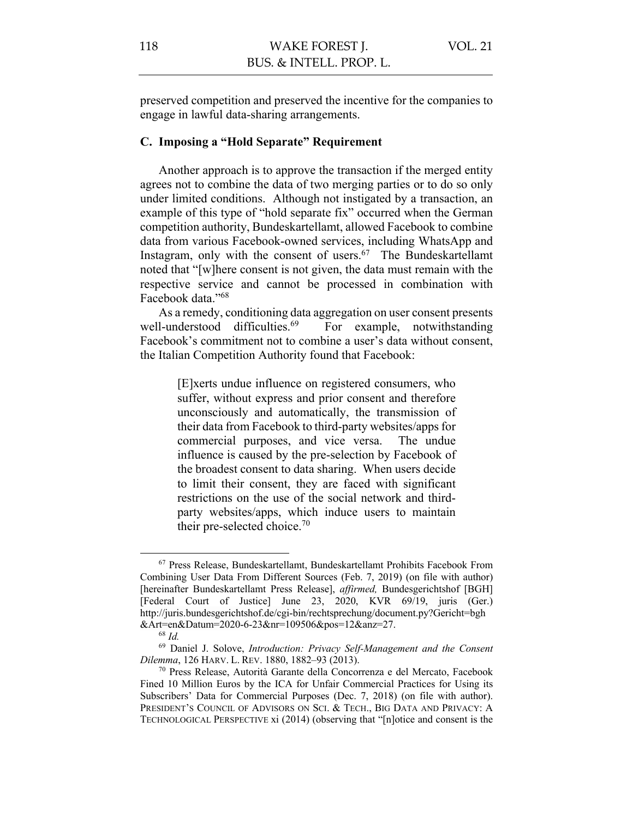preserved competition and preserved the incentive for the companies to engage in lawful data-sharing arrangements.

## **C. Imposing a "Hold Separate" Requirement**

Another approach is to approve the transaction if the merged entity agrees not to combine the data of two merging parties or to do so only under limited conditions. Although not instigated by a transaction, an example of this type of "hold separate fix" occurred when the German competition authority, Bundeskartellamt, allowed Facebook to combine data from various Facebook-owned services, including WhatsApp and Instagram, only with the consent of users. $67$  The Bundeskartellamt noted that "[w]here consent is not given, the data must remain with the respective service and cannot be processed in combination with Facebook data."68

As a remedy, conditioning data aggregation on user consent presents well-understood difficulties.<sup>69</sup> For example, notwithstanding Facebook's commitment not to combine a user's data without consent, the Italian Competition Authority found that Facebook:

> [E]xerts undue influence on registered consumers, who suffer, without express and prior consent and therefore unconsciously and automatically, the transmission of their data from Facebook to third-party websites/apps for commercial purposes, and vice versa. The undue influence is caused by the pre-selection by Facebook of the broadest consent to data sharing. When users decide to limit their consent, they are faced with significant restrictions on the use of the social network and thirdparty websites/apps, which induce users to maintain their pre-selected choice.70

<sup>67</sup> Press Release, Bundeskartellamt, Bundeskartellamt Prohibits Facebook From Combining User Data From Different Sources (Feb. 7, 2019) (on file with author) [hereinafter Bundeskartellamt Press Release], *affirmed,* Bundesgerichtshof [BGH] [Federal Court of Justice] June 23, 2020, KVR 69/19, juris (Ger.) http://juris.bundesgerichtshof.de/cgi-bin/rechtsprechung/document.py?Gericht=bgh &Art=en&Datum=2020-6-23&nr=109506&pos=12&anz=27.

<sup>68</sup> *Id.* 

<sup>69</sup> Daniel J. Solove, *Introduction: Privacy Self-Management and the Consent Dilemma*, 126 HARV. L. REV. 1880, 1882–93 (2013).

<sup>70</sup> Press Release, Autorità Garante della Concorrenza e del Mercato, Facebook Fined 10 Million Euros by the ICA for Unfair Commercial Practices for Using its Subscribers' Data for Commercial Purposes (Dec. 7, 2018) (on file with author). PRESIDENT'S COUNCIL OF ADVISORS ON SCI. & TECH., BIG DATA AND PRIVACY: A TECHNOLOGICAL PERSPECTIVE xi (2014) (observing that "[n]otice and consent is the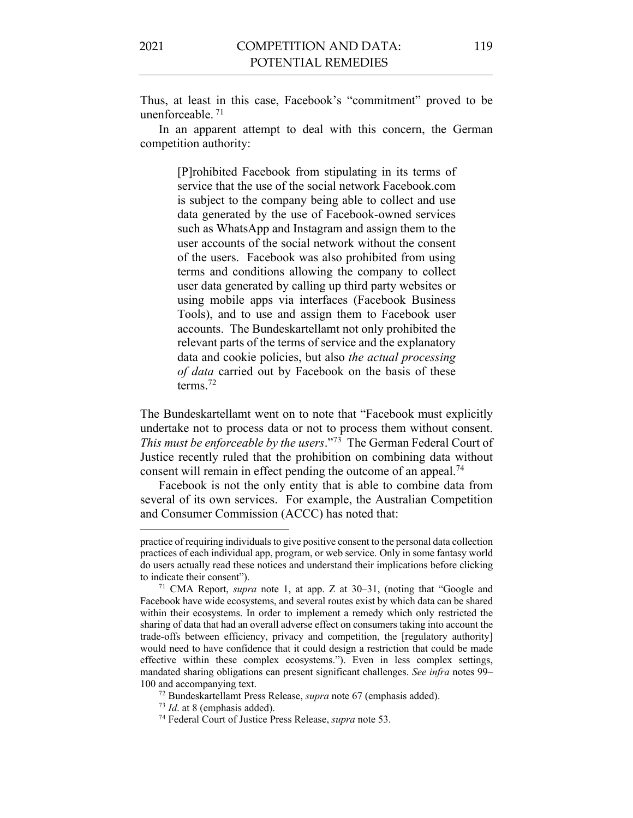Thus, at least in this case, Facebook's "commitment" proved to be unenforceable. <sup>71</sup>

In an apparent attempt to deal with this concern, the German competition authority:

> [P]rohibited Facebook from stipulating in its terms of service that the use of the social network Facebook.com is subject to the company being able to collect and use data generated by the use of Facebook-owned services such as WhatsApp and Instagram and assign them to the user accounts of the social network without the consent of the users. Facebook was also prohibited from using terms and conditions allowing the company to collect user data generated by calling up third party websites or using mobile apps via interfaces (Facebook Business Tools), and to use and assign them to Facebook user accounts. The Bundeskartellamt not only prohibited the relevant parts of the terms of service and the explanatory data and cookie policies, but also *the actual processing of data* carried out by Facebook on the basis of these terms.72

The Bundeskartellamt went on to note that "Facebook must explicitly undertake not to process data or not to process them without consent. *This must be enforceable by the users*."73 The German Federal Court of Justice recently ruled that the prohibition on combining data without consent will remain in effect pending the outcome of an appeal.<sup>74</sup>

Facebook is not the only entity that is able to combine data from several of its own services. For example, the Australian Competition and Consumer Commission (ACCC) has noted that:

practice of requiring individuals to give positive consent to the personal data collection practices of each individual app, program, or web service. Only in some fantasy world do users actually read these notices and understand their implications before clicking to indicate their consent").

<sup>71</sup> CMA Report, *supra* note 1, at app. Z at 30–31, (noting that "Google and Facebook have wide ecosystems, and several routes exist by which data can be shared within their ecosystems. In order to implement a remedy which only restricted the sharing of data that had an overall adverse effect on consumers taking into account the trade-offs between efficiency, privacy and competition, the [regulatory authority] would need to have confidence that it could design a restriction that could be made effective within these complex ecosystems."). Even in less complex settings, mandated sharing obligations can present significant challenges. *See infra* notes 99– 100 and accompanying text.

<sup>72</sup> Bundeskartellamt Press Release, *supra* note 67 (emphasis added).

<sup>73</sup> *Id*. at 8 (emphasis added).

<sup>74</sup> Federal Court of Justice Press Release, *supra* note 53.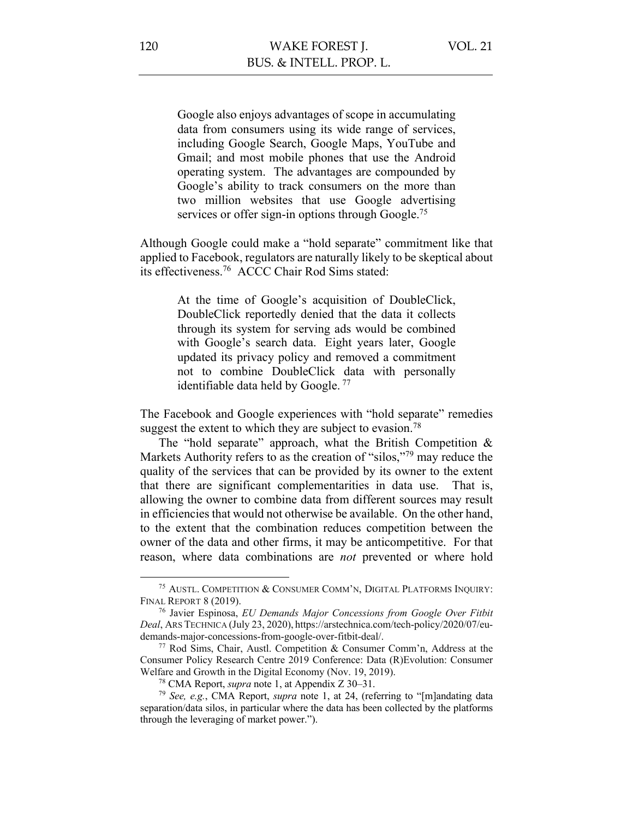Google also enjoys advantages of scope in accumulating data from consumers using its wide range of services, including Google Search, Google Maps, YouTube and Gmail; and most mobile phones that use the Android operating system. The advantages are compounded by Google's ability to track consumers on the more than two million websites that use Google advertising services or offer sign-in options through Google.<sup>75</sup>

Although Google could make a "hold separate" commitment like that applied to Facebook, regulators are naturally likely to be skeptical about its effectiveness.76 ACCC Chair Rod Sims stated:

> At the time of Google's acquisition of DoubleClick, DoubleClick reportedly denied that the data it collects through its system for serving ads would be combined with Google's search data. Eight years later, Google updated its privacy policy and removed a commitment not to combine DoubleClick data with personally identifiable data held by Google. <sup>77</sup>

The Facebook and Google experiences with "hold separate" remedies suggest the extent to which they are subject to evasion.<sup>78</sup>

The "hold separate" approach, what the British Competition  $\&$ Markets Authority refers to as the creation of "silos,"<sup>79</sup> may reduce the quality of the services that can be provided by its owner to the extent that there are significant complementarities in data use. That is, allowing the owner to combine data from different sources may result in efficiencies that would not otherwise be available. On the other hand, to the extent that the combination reduces competition between the owner of the data and other firms, it may be anticompetitive. For that reason, where data combinations are *not* prevented or where hold

<sup>75</sup> AUSTL. COMPETITION & CONSUMER COMM'N, DIGITAL PLATFORMS INQUIRY: FINAL REPORT 8 (2019).

<sup>76</sup> Javier Espinosa, *EU Demands Major Concessions from Google Over Fitbit Deal*, ARS TECHNICA (July 23, 2020), https://arstechnica.com/tech-policy/2020/07/eudemands-major-concessions-from-google-over-fitbit-deal/.

<sup>77</sup> Rod Sims, Chair, Austl. Competition & Consumer Comm'n, Address at the Consumer Policy Research Centre 2019 Conference: Data (R)Evolution: Consumer Welfare and Growth in the Digital Economy (Nov. 19, 2019). 78 CMA Report, *supra* note 1, at Appendix Z 30–31.

<sup>79</sup> *See, e.g.*, CMA Report, *supra* note 1, at 24, (referring to "[m]andating data separation/data silos, in particular where the data has been collected by the platforms through the leveraging of market power.").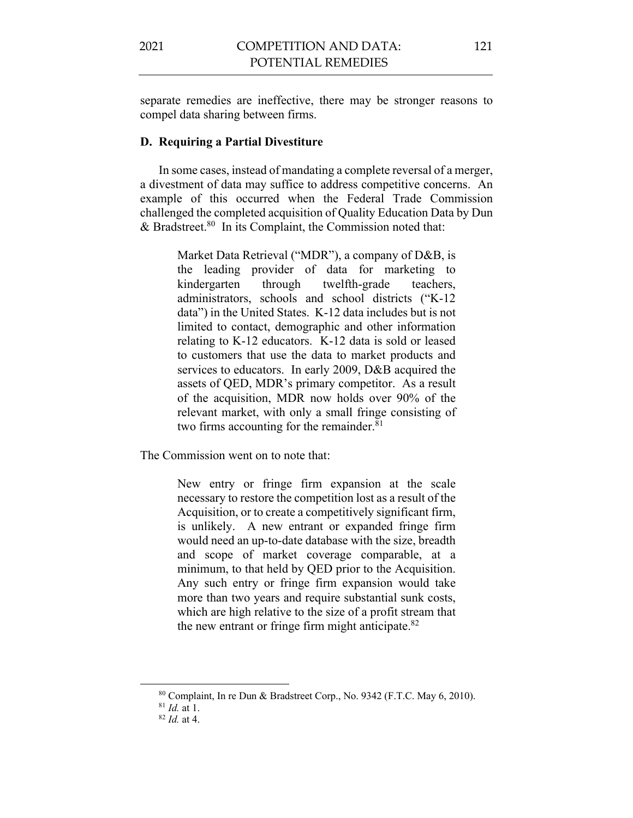separate remedies are ineffective, there may be stronger reasons to compel data sharing between firms.

## **D. Requiring a Partial Divestiture**

In some cases, instead of mandating a complete reversal of a merger, a divestment of data may suffice to address competitive concerns. An example of this occurred when the Federal Trade Commission challenged the completed acquisition of Quality Education Data by Dun & Bradstreet.80 In its Complaint, the Commission noted that:

> Market Data Retrieval ("MDR"), a company of D&B, is the leading provider of data for marketing to kindergarten through twelfth-grade teachers, administrators, schools and school districts ("K-12 data") in the United States. K-12 data includes but is not limited to contact, demographic and other information relating to K-12 educators. K-12 data is sold or leased to customers that use the data to market products and services to educators. In early 2009, D&B acquired the assets of QED, MDR's primary competitor. As a result of the acquisition, MDR now holds over 90% of the relevant market, with only a small fringe consisting of two firms accounting for the remainder. $81$

The Commission went on to note that:

New entry or fringe firm expansion at the scale necessary to restore the competition lost as a result of the Acquisition, or to create a competitively significant firm, is unlikely. A new entrant or expanded fringe firm would need an up-to-date database with the size, breadth and scope of market coverage comparable, at a minimum, to that held by QED prior to the Acquisition. Any such entry or fringe firm expansion would take more than two years and require substantial sunk costs, which are high relative to the size of a profit stream that the new entrant or fringe firm might anticipate.<sup>82</sup>

<sup>80</sup> Complaint, In re Dun & Bradstreet Corp., No. 9342 (F.T.C. May 6, 2010).

<sup>81</sup> *Id.* at 1.

<sup>82</sup> *Id.* at 4.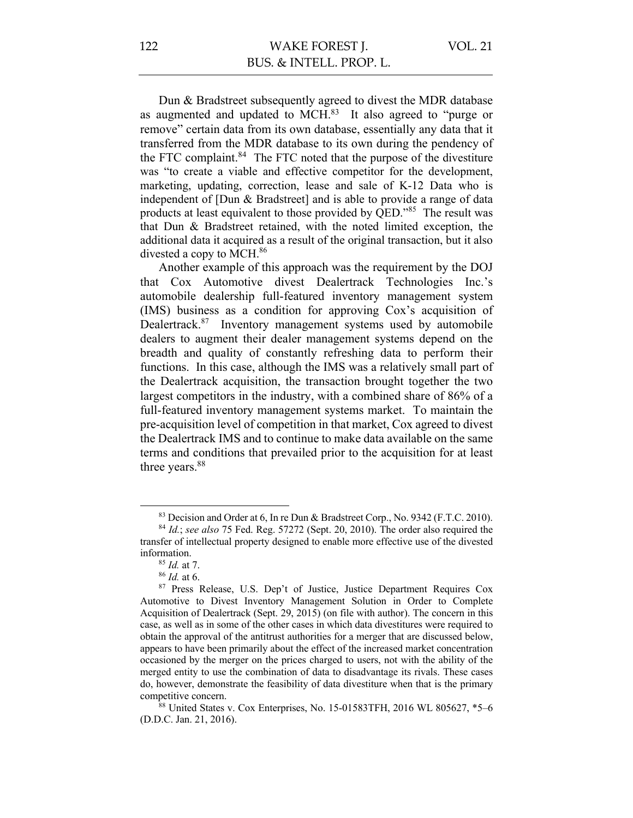Dun & Bradstreet subsequently agreed to divest the MDR database as augmented and updated to MCH.83 It also agreed to "purge or remove" certain data from its own database, essentially any data that it transferred from the MDR database to its own during the pendency of the FTC complaint. $84$  The FTC noted that the purpose of the divestiture was "to create a viable and effective competitor for the development, marketing, updating, correction, lease and sale of K-12 Data who is independent of [Dun & Bradstreet] and is able to provide a range of data products at least equivalent to those provided by QED."<sup>85</sup> The result was that Dun & Bradstreet retained, with the noted limited exception, the additional data it acquired as a result of the original transaction, but it also divested a copy to MCH.<sup>86</sup>

Another example of this approach was the requirement by the DOJ that Cox Automotive divest Dealertrack Technologies Inc.'s automobile dealership full-featured inventory management system (IMS) business as a condition for approving Cox's acquisition of Dealertrack.87 Inventory management systems used by automobile dealers to augment their dealer management systems depend on the breadth and quality of constantly refreshing data to perform their functions. In this case, although the IMS was a relatively small part of the Dealertrack acquisition, the transaction brought together the two largest competitors in the industry, with a combined share of 86% of a full-featured inventory management systems market. To maintain the pre-acquisition level of competition in that market, Cox agreed to divest the Dealertrack IMS and to continue to make data available on the same terms and conditions that prevailed prior to the acquisition for at least three years.<sup>88</sup>

<sup>83</sup> Decision and Order at 6, In re Dun & Bradstreet Corp., No. 9342 (F.T.C. 2010).

<sup>84</sup> *Id.*; *see also* 75 Fed. Reg. 57272 (Sept. 20, 2010). The order also required the transfer of intellectual property designed to enable more effective use of the divested information.

<sup>85</sup> *Id.* at 7.

<sup>86</sup> *Id.* at 6.

<sup>87</sup> Press Release, U.S. Dep't of Justice, Justice Department Requires Cox Automotive to Divest Inventory Management Solution in Order to Complete Acquisition of Dealertrack (Sept. 29, 2015) (on file with author). The concern in this case, as well as in some of the other cases in which data divestitures were required to obtain the approval of the antitrust authorities for a merger that are discussed below, appears to have been primarily about the effect of the increased market concentration occasioned by the merger on the prices charged to users, not with the ability of the merged entity to use the combination of data to disadvantage its rivals. These cases do, however, demonstrate the feasibility of data divestiture when that is the primary competitive concern.

<sup>88</sup> United States v. Cox Enterprises, No. 15-01583TFH, 2016 WL 805627, \*5–6 (D.D.C. Jan. 21, 2016).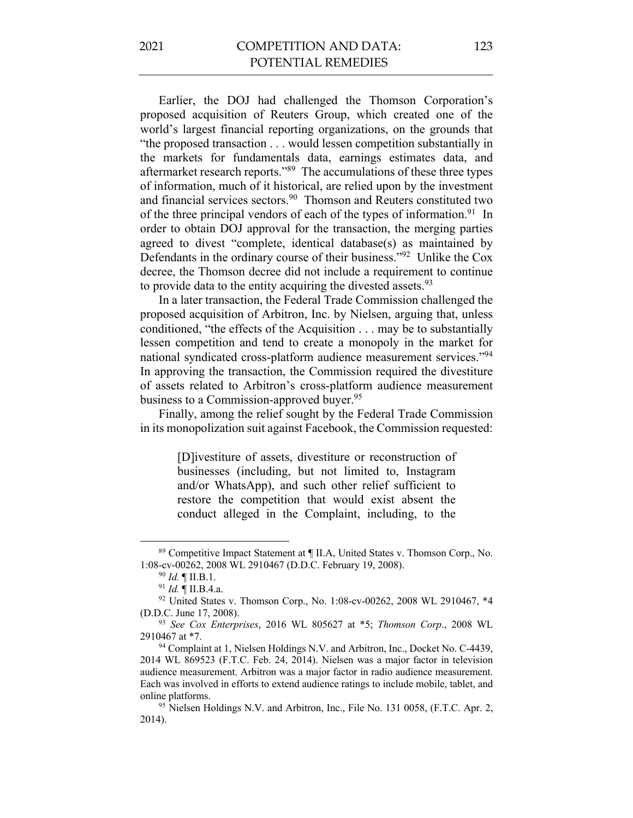Earlier, the DOJ had challenged the Thomson Corporation's proposed acquisition of Reuters Group, which created one of the world's largest financial reporting organizations, on the grounds that "the proposed transaction . . . would lessen competition substantially in the markets for fundamentals data, earnings estimates data, and aftermarket research reports."89 The accumulations of these three types of information, much of it historical, are relied upon by the investment and financial services sectors. 90 Thomson and Reuters constituted two of the three principal vendors of each of the types of information.<sup>91</sup> In order to obtain DOJ approval for the transaction, the merging parties agreed to divest "complete, identical database(s) as maintained by Defendants in the ordinary course of their business."92 Unlike the Cox decree, the Thomson decree did not include a requirement to continue to provide data to the entity acquiring the divested assets. $93$ 

In a later transaction, the Federal Trade Commission challenged the proposed acquisition of Arbitron, Inc. by Nielsen, arguing that, unless conditioned, "the effects of the Acquisition . . . may be to substantially lessen competition and tend to create a monopoly in the market for national syndicated cross-platform audience measurement services."94 In approving the transaction, the Commission required the divestiture of assets related to Arbitron's cross-platform audience measurement business to a Commission-approved buyer.<sup>95</sup>

Finally, among the relief sought by the Federal Trade Commission in its monopolization suit against Facebook, the Commission requested:

> [D]ivestiture of assets, divestiture or reconstruction of businesses (including, but not limited to, Instagram and/or WhatsApp), and such other relief sufficient to restore the competition that would exist absent the conduct alleged in the Complaint, including, to the

<sup>89</sup> Competitive Impact Statement at ¶ II.A, United States v. Thomson Corp., No. 1:08-cv-00262, 2008 WL 2910467 (D.D.C. February 19, 2008).

<sup>90</sup> *Id.* ¶ II.B.1.

<sup>91</sup> *Id.* ¶ II.B.4.a.

<sup>&</sup>lt;sup>92</sup> United States v. Thomson Corp., No. 1:08-cv-00262, 2008 WL 2910467, \*4 (D.D.C. June 17, 2008).

<sup>93</sup> *See Cox Enterprises*, 2016 WL 805627 at \*5; *Thomson Corp*., 2008 WL 2910467 at \*7.

<sup>94</sup> Complaint at 1, Nielsen Holdings N.V. and Arbitron, Inc., Docket No. C-4439, 2014 WL 869523 (F.T.C. Feb. 24, 2014). Nielsen was a major factor in television audience measurement. Arbitron was a major factor in radio audience measurement. Each was involved in efforts to extend audience ratings to include mobile, tablet, and online platforms.

<sup>&</sup>lt;sup>95</sup> Nielsen Holdings N.V. and Arbitron, Inc., File No. 131 0058, (F.T.C. Apr. 2, 2014).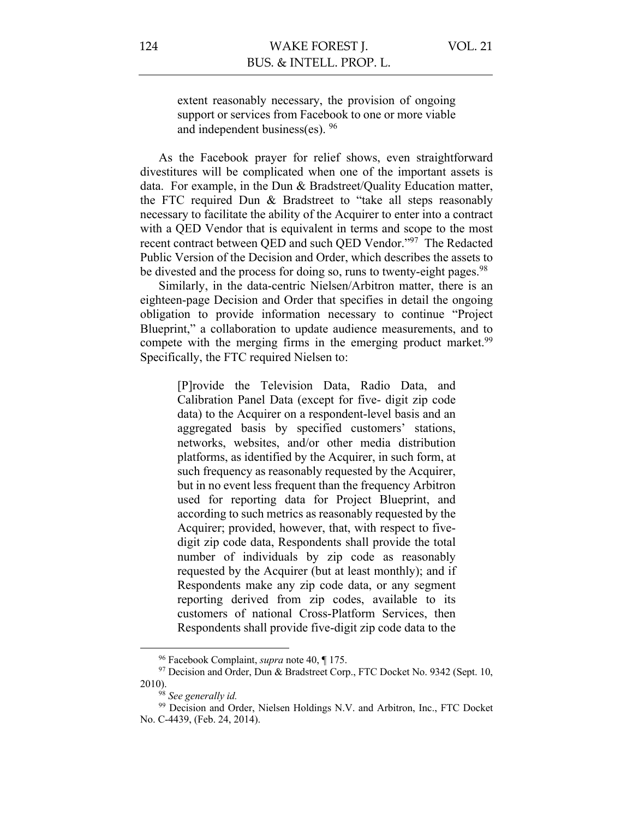VOL. 21

extent reasonably necessary, the provision of ongoing support or services from Facebook to one or more viable and independent business(es). 96

As the Facebook prayer for relief shows, even straightforward divestitures will be complicated when one of the important assets is data. For example, in the Dun & Bradstreet/Quality Education matter, the FTC required Dun & Bradstreet to "take all steps reasonably necessary to facilitate the ability of the Acquirer to enter into a contract with a QED Vendor that is equivalent in terms and scope to the most recent contract between QED and such QED Vendor."97 The Redacted Public Version of the Decision and Order, which describes the assets to be divested and the process for doing so, runs to twenty-eight pages.<sup>98</sup>

Similarly, in the data-centric Nielsen/Arbitron matter, there is an eighteen-page Decision and Order that specifies in detail the ongoing obligation to provide information necessary to continue "Project Blueprint," a collaboration to update audience measurements, and to compete with the merging firms in the emerging product market.<sup>99</sup> Specifically, the FTC required Nielsen to:

> [P]rovide the Television Data, Radio Data, and Calibration Panel Data (except for five- digit zip code data) to the Acquirer on a respondent-level basis and an aggregated basis by specified customers' stations, networks, websites, and/or other media distribution platforms, as identified by the Acquirer, in such form, at such frequency as reasonably requested by the Acquirer, but in no event less frequent than the frequency Arbitron used for reporting data for Project Blueprint, and according to such metrics as reasonably requested by the Acquirer; provided, however, that, with respect to fivedigit zip code data, Respondents shall provide the total number of individuals by zip code as reasonably requested by the Acquirer (but at least monthly); and if Respondents make any zip code data, or any segment reporting derived from zip codes, available to its customers of national Cross-Platform Services, then Respondents shall provide five-digit zip code data to the

<sup>96</sup> Facebook Complaint, *supra* note 40, ¶ 175.

<sup>&</sup>lt;sup>97</sup> Decision and Order, Dun & Bradstreet Corp., FTC Docket No. 9342 (Sept. 10, 2010). 98 *See generally id.*

<sup>&</sup>lt;sup>99</sup> Decision and Order, Nielsen Holdings N.V. and Arbitron, Inc., FTC Docket No. C-4439, (Feb. 24, 2014).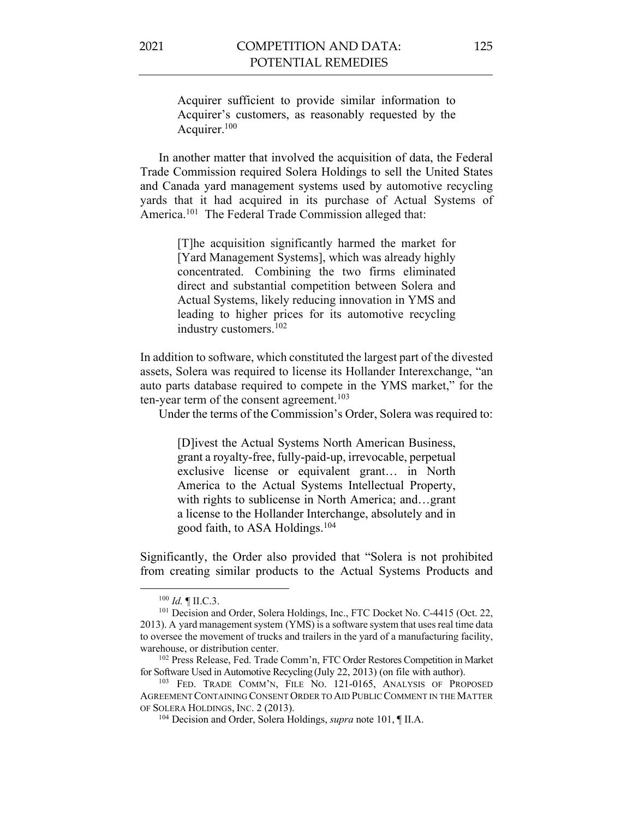Acquirer sufficient to provide similar information to Acquirer's customers, as reasonably requested by the Acquirer.100

In another matter that involved the acquisition of data, the Federal Trade Commission required Solera Holdings to sell the United States and Canada yard management systems used by automotive recycling yards that it had acquired in its purchase of Actual Systems of America.<sup>101</sup> The Federal Trade Commission alleged that:

> [T]he acquisition significantly harmed the market for [Yard Management Systems], which was already highly concentrated. Combining the two firms eliminated direct and substantial competition between Solera and Actual Systems, likely reducing innovation in YMS and leading to higher prices for its automotive recycling industry customers.102

In addition to software, which constituted the largest part of the divested assets, Solera was required to license its Hollander Interexchange, "an auto parts database required to compete in the YMS market," for the ten-year term of the consent agreement.<sup>103</sup>

Under the terms of the Commission's Order, Solera was required to:

[D]ivest the Actual Systems North American Business, grant a royalty-free, fully-paid-up, irrevocable, perpetual exclusive license or equivalent grant… in North America to the Actual Systems Intellectual Property, with rights to sublicense in North America; and…grant a license to the Hollander Interchange, absolutely and in good faith, to ASA Holdings.104

Significantly, the Order also provided that "Solera is not prohibited from creating similar products to the Actual Systems Products and

<sup>100</sup> *Id.* ¶ II.C.3.

<sup>&</sup>lt;sup>101</sup> Decision and Order, Solera Holdings, Inc., FTC Docket No. C-4415 (Oct. 22, 2013). A yard management system (YMS) is a software system that uses real time data to oversee the movement of trucks and trailers in the yard of a manufacturing facility, warehouse, or distribution center.

<sup>102</sup> Press Release, Fed. Trade Comm'n, FTC Order Restores Competition in Market for Software Used in Automotive Recycling (July 22, 2013) (on file with author).

<sup>103</sup> FED. TRADE COMM'N, FILE NO. 121-0165, ANALYSIS OF PROPOSED AGREEMENT CONTAINING CONSENT ORDER TO AID PUBLIC COMMENT IN THE MATTER OF SOLERA HOLDINGS, INC. 2 (2013).

<sup>104</sup> Decision and Order, Solera Holdings, *supra* note 101, ¶ II.A.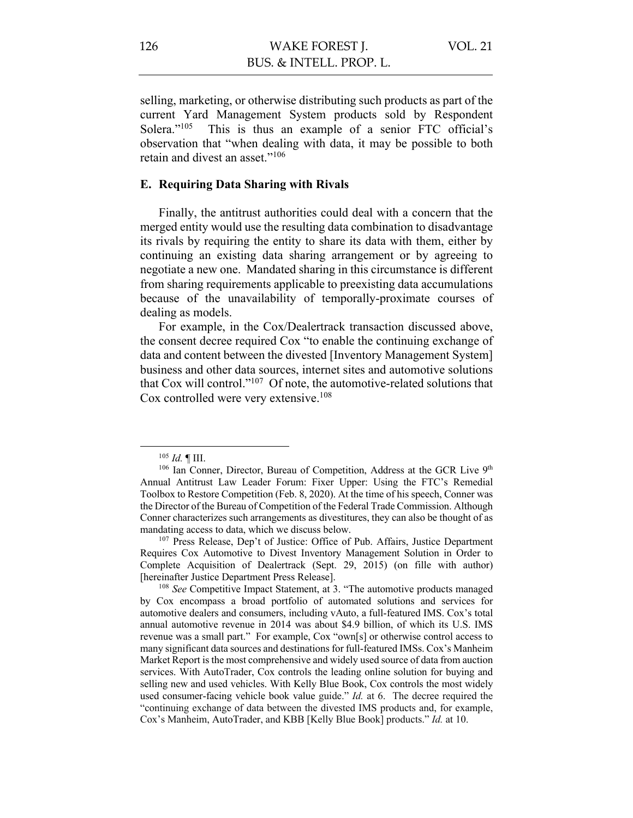selling, marketing, or otherwise distributing such products as part of the current Yard Management System products sold by Respondent Solera."<sup>105</sup> This is thus an example of a senior FTC official's observation that "when dealing with data, it may be possible to both retain and divest an asset."106

### **E. Requiring Data Sharing with Rivals**

Finally, the antitrust authorities could deal with a concern that the merged entity would use the resulting data combination to disadvantage its rivals by requiring the entity to share its data with them, either by continuing an existing data sharing arrangement or by agreeing to negotiate a new one. Mandated sharing in this circumstance is different from sharing requirements applicable to preexisting data accumulations because of the unavailability of temporally-proximate courses of dealing as models.

For example, in the Cox/Dealertrack transaction discussed above, the consent decree required Cox "to enable the continuing exchange of data and content between the divested [Inventory Management System] business and other data sources, internet sites and automotive solutions that Cox will control."107 Of note, the automotive-related solutions that Cox controlled were very extensive.<sup>108</sup>

<sup>105</sup> *Id.* ¶ III.

<sup>&</sup>lt;sup>106</sup> Ian Conner, Director, Bureau of Competition, Address at the GCR Live 9<sup>th</sup> Annual Antitrust Law Leader Forum: Fixer Upper: Using the FTC's Remedial Toolbox to Restore Competition (Feb. 8, 2020). At the time of his speech, Conner was the Director of the Bureau of Competition of the Federal Trade Commission. Although Conner characterizes such arrangements as divestitures, they can also be thought of as mandating access to data, which we discuss below.

<sup>107</sup> Press Release, Dep't of Justice: Office of Pub. Affairs, Justice Department Requires Cox Automotive to Divest Inventory Management Solution in Order to Complete Acquisition of Dealertrack (Sept. 29, 2015) (on fille with author) [hereinafter Justice Department Press Release].

<sup>108</sup> *See* Competitive Impact Statement, at 3. "The automotive products managed by Cox encompass a broad portfolio of automated solutions and services for automotive dealers and consumers, including vAuto, a full-featured IMS. Cox's total annual automotive revenue in 2014 was about \$4.9 billion, of which its U.S. IMS revenue was a small part." For example, Cox "own[s] or otherwise control access to many significant data sources and destinations for full-featured IMSs. Cox's Manheim Market Report is the most comprehensive and widely used source of data from auction services. With AutoTrader, Cox controls the leading online solution for buying and selling new and used vehicles. With Kelly Blue Book, Cox controls the most widely used consumer-facing vehicle book value guide." *Id.* at 6. The decree required the "continuing exchange of data between the divested IMS products and, for example, Cox's Manheim, AutoTrader, and KBB [Kelly Blue Book] products." *Id.* at 10.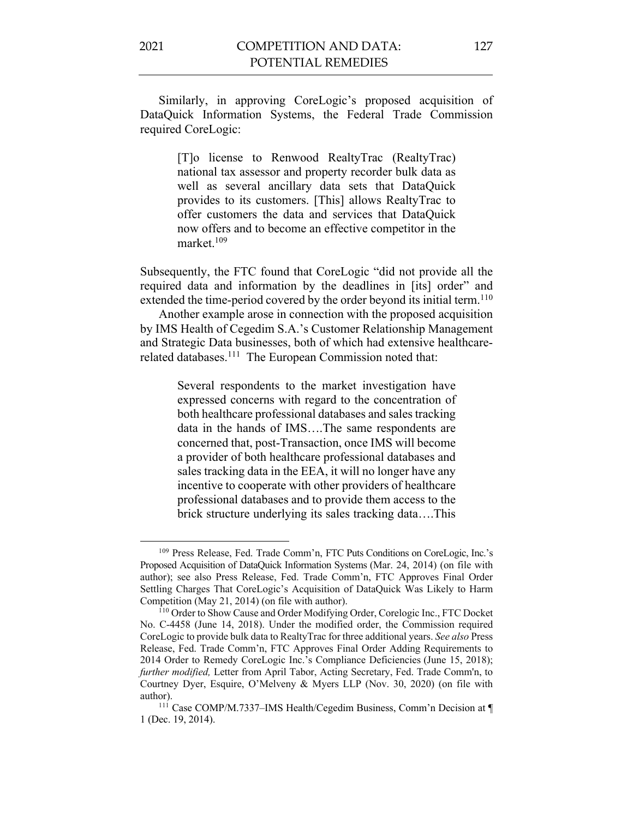Similarly, in approving CoreLogic's proposed acquisition of DataQuick Information Systems, the Federal Trade Commission required CoreLogic:

> [T]o license to Renwood RealtyTrac (RealtyTrac) national tax assessor and property recorder bulk data as well as several ancillary data sets that DataQuick provides to its customers. [This] allows RealtyTrac to offer customers the data and services that DataQuick now offers and to become an effective competitor in the market.<sup>109</sup>

Subsequently, the FTC found that CoreLogic "did not provide all the required data and information by the deadlines in [its] order" and extended the time-period covered by the order beyond its initial term.<sup>110</sup>

Another example arose in connection with the proposed acquisition by IMS Health of Cegedim S.A.'s Customer Relationship Management and Strategic Data businesses, both of which had extensive healthcarerelated databases.<sup>111</sup> The European Commission noted that:

> Several respondents to the market investigation have expressed concerns with regard to the concentration of both healthcare professional databases and sales tracking data in the hands of IMS….The same respondents are concerned that, post-Transaction, once IMS will become a provider of both healthcare professional databases and sales tracking data in the EEA, it will no longer have any incentive to cooperate with other providers of healthcare professional databases and to provide them access to the brick structure underlying its sales tracking data….This

<sup>109</sup> Press Release, Fed. Trade Comm'n, FTC Puts Conditions on CoreLogic, Inc.'s Proposed Acquisition of DataQuick Information Systems (Mar. 24, 2014) (on file with author); see also Press Release, Fed. Trade Comm'n, FTC Approves Final Order Settling Charges That CoreLogic's Acquisition of DataQuick Was Likely to Harm Competition (May 21, 2014) (on file with author).

<sup>110</sup> Order to Show Cause and Order Modifying Order, Corelogic Inc., FTC Docket No. C-4458 (June 14, 2018). Under the modified order, the Commission required CoreLogic to provide bulk data to RealtyTrac for three additional years. *See also* Press Release, Fed. Trade Comm'n, FTC Approves Final Order Adding Requirements to 2014 Order to Remedy CoreLogic Inc.'s Compliance Deficiencies (June 15, 2018); *further modified,* Letter from April Tabor, Acting Secretary, Fed. Trade Comm'n, to Courtney Dyer, Esquire, O'Melveny & Myers LLP (Nov. 30, 2020) (on file with author).

<sup>111</sup> Case COMP/M.7337–IMS Health/Cegedim Business, Comm'n Decision at ¶ 1 (Dec. 19, 2014).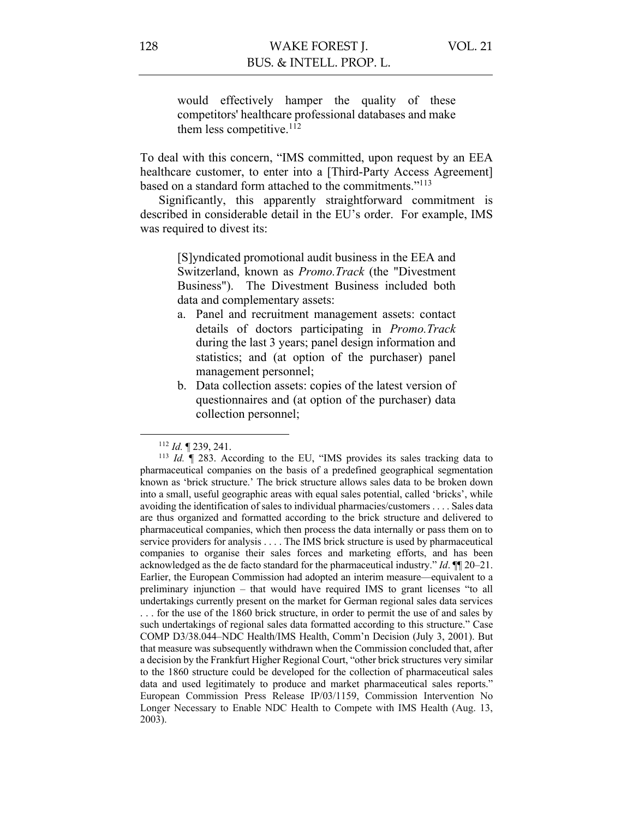would effectively hamper the quality of these competitors' healthcare professional databases and make them less competitive. $112$ 

To deal with this concern, "IMS committed, upon request by an EEA healthcare customer, to enter into a [Third-Party Access Agreement] based on a standard form attached to the commitments."113

Significantly, this apparently straightforward commitment is described in considerable detail in the EU's order. For example, IMS was required to divest its:

> [S]yndicated promotional audit business in the EEA and Switzerland, known as *Promo.Track* (the "Divestment Business"). The Divestment Business included both data and complementary assets:

- a. Panel and recruitment management assets: contact details of doctors participating in *Promo.Track* during the last 3 years; panel design information and statistics; and (at option of the purchaser) panel management personnel;
- b. Data collection assets: copies of the latest version of questionnaires and (at option of the purchaser) data collection personnel;

<sup>112</sup> *Id.* ¶ 239, 241.

<sup>113</sup> *Id.* ¶ 283. According to the EU, "IMS provides its sales tracking data to pharmaceutical companies on the basis of a predefined geographical segmentation known as 'brick structure.' The brick structure allows sales data to be broken down into a small, useful geographic areas with equal sales potential, called 'bricks', while avoiding the identification of sales to individual pharmacies/customers . . . . Sales data are thus organized and formatted according to the brick structure and delivered to pharmaceutical companies, which then process the data internally or pass them on to service providers for analysis . . . . The IMS brick structure is used by pharmaceutical companies to organise their sales forces and marketing efforts, and has been acknowledged as the de facto standard for the pharmaceutical industry." *Id*. ¶¶ 20–21. Earlier, the European Commission had adopted an interim measure—equivalent to a preliminary injunction – that would have required IMS to grant licenses "to all undertakings currently present on the market for German regional sales data services . . . for the use of the 1860 brick structure, in order to permit the use of and sales by such undertakings of regional sales data formatted according to this structure." Case COMP D3/38.044–NDC Health/IMS Health, Comm'n Decision (July 3, 2001). But that measure was subsequently withdrawn when the Commission concluded that, after a decision by the Frankfurt Higher Regional Court, "other brick structures very similar to the 1860 structure could be developed for the collection of pharmaceutical sales data and used legitimately to produce and market pharmaceutical sales reports." European Commission Press Release IP/03/1159, Commission Intervention No Longer Necessary to Enable NDC Health to Compete with IMS Health (Aug. 13, 2003).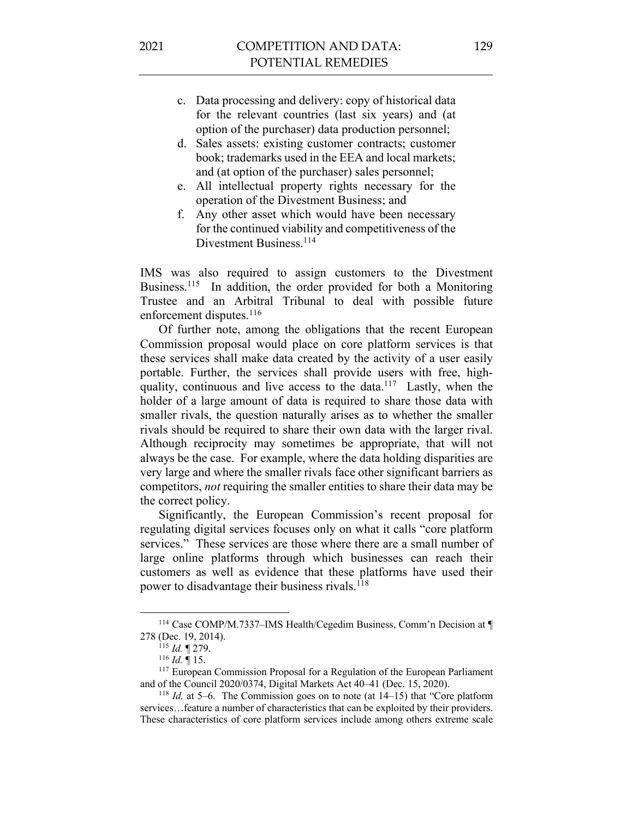- c. Data processing and delivery: copy of historical data for the relevant countries (last six years) and (at option of the purchaser) data production personnel;
- d. Sales assets: existing customer contracts; customer book; trademarks used in the EEA and local markets; and (at option of the purchaser) sales personnel;
- e. All intellectual property rights necessary for the operation of the Divestment Business; and
- f. Any other asset which would have been necessary for the continued viability and competitiveness of the Divestment Business. 114

IMS was also required to assign customers to the Divestment Business.115 In addition, the order provided for both a Monitoring Trustee and an Arbitral Tribunal to deal with possible future enforcement disputes.<sup>116</sup>

Of further note, among the obligations that the recent European Commission proposal would place on core platform services is that these services shall make data created by the activity of a user easily portable. Further, the services shall provide users with free, highquality, continuous and live access to the data.<sup>117</sup> Lastly, when the holder of a large amount of data is required to share those data with smaller rivals, the question naturally arises as to whether the smaller rivals should be required to share their own data with the larger rival. Although reciprocity may sometimes be appropriate, that will not always be the case. For example, where the data holding disparities are very large and where the smaller rivals face other significant barriers as competitors, *not* requiring the smaller entities to share their data may be the correct policy.

Significantly, the European Commission's recent proposal for regulating digital services focuses only on what it calls "core platform services." These services are those where there are a small number of large online platforms through which businesses can reach their customers as well as evidence that these platforms have used their power to disadvantage their business rivals.118

<sup>114</sup> Case COMP/M.7337–IMS Health/Cegedim Business, Comm'n Decision at ¶ 278 (Dec. 19, 2014).

<sup>115</sup> *Id.* ¶ 279.

<sup>116</sup> *Id.* ¶ 15.

<sup>&</sup>lt;sup>117</sup> European Commission Proposal for a Regulation of the European Parliament and of the Council 2020/0374, Digital Markets Act 40–41 (Dec. 15, 2020).<br><sup>118</sup> *Id.* at 5–6. The Commission goes on to note (at 14–15) that "Core platform

services…feature a number of characteristics that can be exploited by their providers. These characteristics of core platform services include among others extreme scale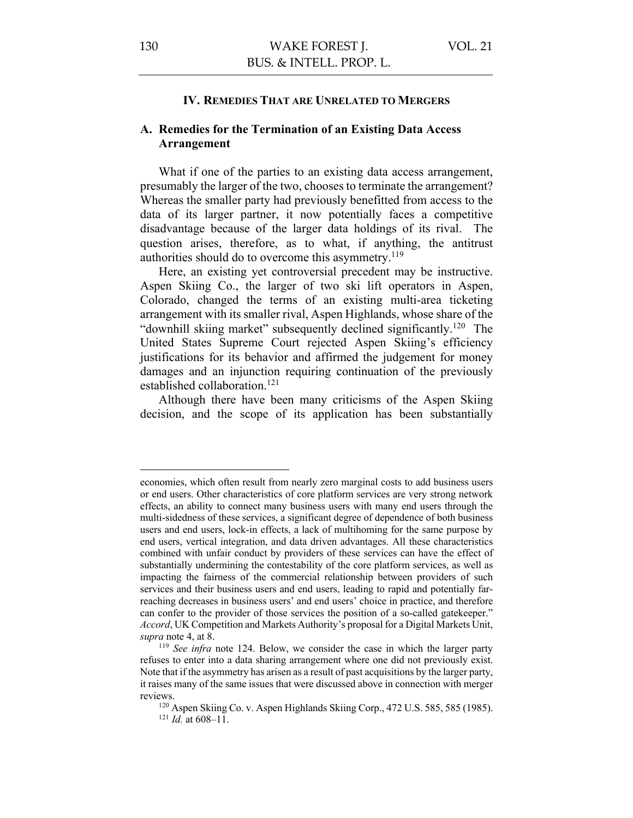#### **IV. REMEDIES THAT ARE UNRELATED TO MERGERS**

## **A. Remedies for the Termination of an Existing Data Access Arrangement**

What if one of the parties to an existing data access arrangement, presumably the larger of the two, chooses to terminate the arrangement? Whereas the smaller party had previously benefitted from access to the data of its larger partner, it now potentially faces a competitive disadvantage because of the larger data holdings of its rival. The question arises, therefore, as to what, if anything, the antitrust authorities should do to overcome this asymmetry.<sup>119</sup>

Here, an existing yet controversial precedent may be instructive. Aspen Skiing Co., the larger of two ski lift operators in Aspen, Colorado, changed the terms of an existing multi-area ticketing arrangement with its smaller rival, Aspen Highlands, whose share of the "downhill skiing market" subsequently declined significantly.120 The United States Supreme Court rejected Aspen Skiing's efficiency justifications for its behavior and affirmed the judgement for money damages and an injunction requiring continuation of the previously established collaboration. 121

Although there have been many criticisms of the Aspen Skiing decision, and the scope of its application has been substantially

economies, which often result from nearly zero marginal costs to add business users or end users. Other characteristics of core platform services are very strong network effects, an ability to connect many business users with many end users through the multi-sidedness of these services, a significant degree of dependence of both business users and end users, lock-in effects, a lack of multihoming for the same purpose by end users, vertical integration, and data driven advantages. All these characteristics combined with unfair conduct by providers of these services can have the effect of substantially undermining the contestability of the core platform services, as well as impacting the fairness of the commercial relationship between providers of such services and their business users and end users, leading to rapid and potentially farreaching decreases in business users' and end users' choice in practice, and therefore can confer to the provider of those services the position of a so-called gatekeeper." *Accord*, UK Competition and Markets Authority's proposal for a Digital Markets Unit, *supra* note 4, at 8.

<sup>119</sup> *See infra* note 124. Below, we consider the case in which the larger party refuses to enter into a data sharing arrangement where one did not previously exist. Note that if the asymmetry has arisen as a result of past acquisitions by the larger party, it raises many of the same issues that were discussed above in connection with merger reviews.

<sup>120</sup> Aspen Skiing Co. v. Aspen Highlands Skiing Corp., 472 U.S. 585, 585 (1985). <sup>121</sup> *Id.* at 608–11.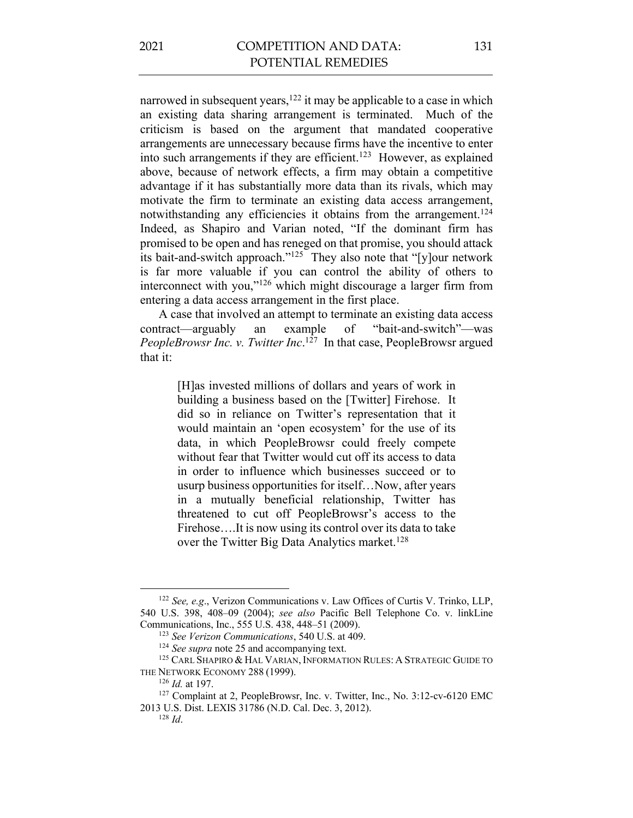narrowed in subsequent years,<sup>122</sup> it may be applicable to a case in which an existing data sharing arrangement is terminated. Much of the criticism is based on the argument that mandated cooperative arrangements are unnecessary because firms have the incentive to enter into such arrangements if they are efficient. 123 However, as explained above, because of network effects, a firm may obtain a competitive advantage if it has substantially more data than its rivals, which may motivate the firm to terminate an existing data access arrangement, notwithstanding any efficiencies it obtains from the arrangement.<sup>124</sup> Indeed, as Shapiro and Varian noted, "If the dominant firm has promised to be open and has reneged on that promise, you should attack its bait-and-switch approach."125 They also note that "[y]our network is far more valuable if you can control the ability of others to interconnect with you,"126 which might discourage a larger firm from entering a data access arrangement in the first place.

A case that involved an attempt to terminate an existing data access contract—arguably an example of "bait-and-switch"—was *PeopleBrowsr Inc. v. Twitter Inc*. 127 In that case, PeopleBrowsr argued that it:

> [H]as invested millions of dollars and years of work in building a business based on the [Twitter] Firehose. It did so in reliance on Twitter's representation that it would maintain an 'open ecosystem' for the use of its data, in which PeopleBrowsr could freely compete without fear that Twitter would cut off its access to data in order to influence which businesses succeed or to usurp business opportunities for itself…Now, after years in a mutually beneficial relationship, Twitter has threatened to cut off PeopleBrowsr's access to the Firehose….It is now using its control over its data to take over the Twitter Big Data Analytics market.<sup>128</sup>

<sup>122</sup> *See, e.g*., Verizon Communications v. Law Offices of Curtis V. Trinko, LLP, 540 U.S. 398, 408–09 (2004); *see also* Pacific Bell Telephone Co. v. linkLine Communications, Inc., 555 U.S. 438, 448–51 (2009).

<sup>123</sup> *See Verizon Communications*, 540 U.S. at 409.

<sup>&</sup>lt;sup>124</sup> See supra note 25 and accompanying text.

<sup>&</sup>lt;sup>125</sup> CARL SHAPIRO & HAL VARIAN, INFORMATION RULES: A STRATEGIC GUIDE TO THE NETWORK ECONOMY 288 (1999).

<sup>126</sup> *Id.* at 197.

<sup>&</sup>lt;sup>127</sup> Complaint at 2, PeopleBrowsr, Inc. v. Twitter, Inc., No. 3:12-cv-6120 EMC 2013 U.S. Dist. LEXIS 31786 (N.D. Cal. Dec. 3, 2012). <sup>128</sup> *Id*.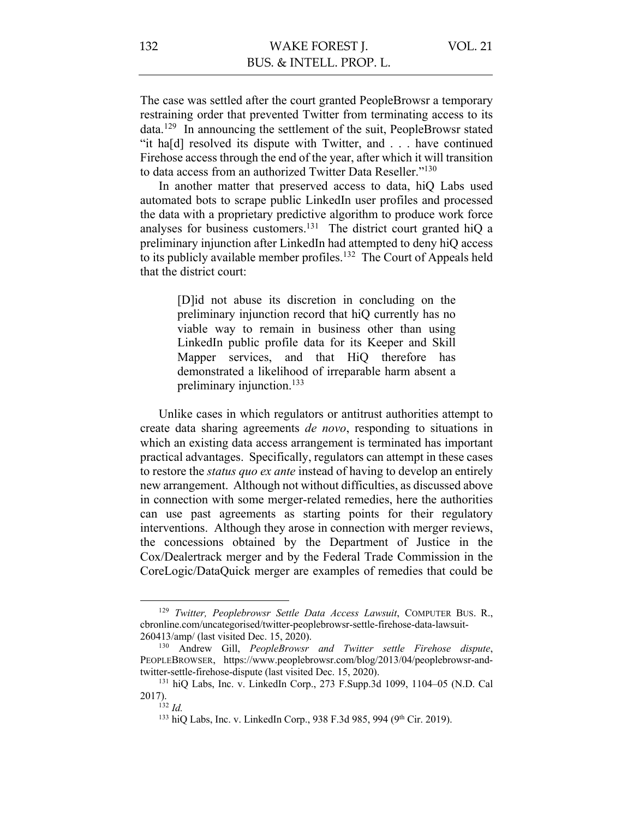The case was settled after the court granted PeopleBrowsr a temporary restraining order that prevented Twitter from terminating access to its data.129 In announcing the settlement of the suit, PeopleBrowsr stated "it ha[d] resolved its dispute with Twitter, and . . . have continued Firehose access through the end of the year, after which it will transition to data access from an authorized Twitter Data Reseller."<sup>130</sup>

In another matter that preserved access to data, hiQ Labs used automated bots to scrape public LinkedIn user profiles and processed the data with a proprietary predictive algorithm to produce work force analyses for business customers.131 The district court granted hiQ a preliminary injunction after LinkedIn had attempted to deny hiQ access to its publicly available member profiles.<sup>132</sup> The Court of Appeals held that the district court:

> [D]id not abuse its discretion in concluding on the preliminary injunction record that hiQ currently has no viable way to remain in business other than using LinkedIn public profile data for its Keeper and Skill Mapper services, and that HiQ therefore has demonstrated a likelihood of irreparable harm absent a preliminary injunction.133

Unlike cases in which regulators or antitrust authorities attempt to create data sharing agreements *de novo*, responding to situations in which an existing data access arrangement is terminated has important practical advantages. Specifically, regulators can attempt in these cases to restore the *status quo ex ante* instead of having to develop an entirely new arrangement. Although not without difficulties, as discussed above in connection with some merger-related remedies, here the authorities can use past agreements as starting points for their regulatory interventions. Although they arose in connection with merger reviews, the concessions obtained by the Department of Justice in the Cox/Dealertrack merger and by the Federal Trade Commission in the CoreLogic/DataQuick merger are examples of remedies that could be

<sup>129</sup> *Twitter, Peoplebrowsr Settle Data Access Lawsuit*, COMPUTER BUS. R., cbronline.com/uncategorised/twitter-peoplebrowsr-settle-firehose-data-lawsuit-260413/amp/ (last visited Dec. 15, 2020).

<sup>130</sup> Andrew Gill, *PeopleBrowsr and Twitter settle Firehose dispute*, PEOPLEBROWSER, https://www.peoplebrowsr.com/blog/2013/04/peoplebrowsr-andtwitter-settle-firehose-dispute (last visited Dec. 15, 2020).

 $131$  hiQ Labs, Inc. v. LinkedIn Corp., 273 F.Supp.3d 1099, 1104–05 (N.D. Cal 2017).

<sup>132</sup> *Id.*

<sup>&</sup>lt;sup>133</sup> hiQ Labs, Inc. v. LinkedIn Corp., 938 F.3d 985, 994 (9<sup>th</sup> Cir. 2019).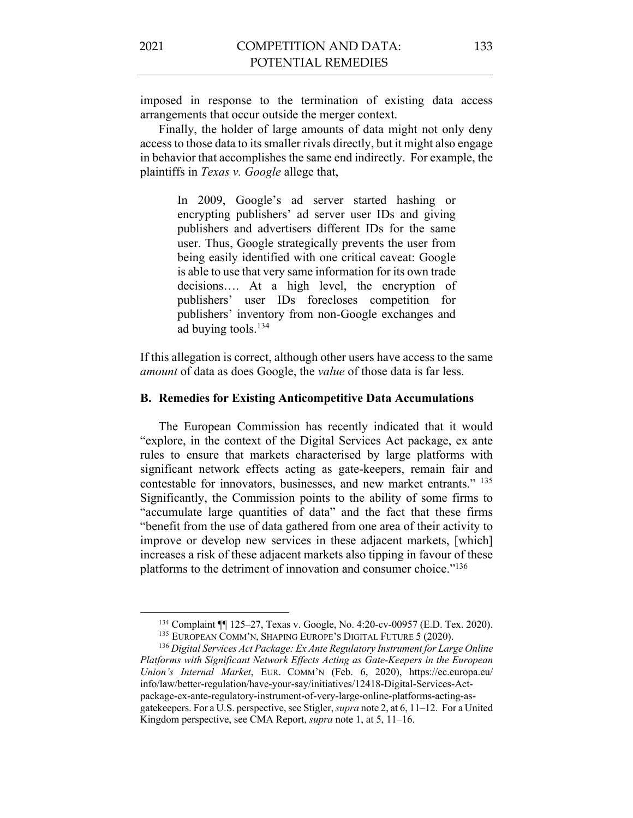imposed in response to the termination of existing data access arrangements that occur outside the merger context.

Finally, the holder of large amounts of data might not only deny access to those data to its smaller rivals directly, but it might also engage in behavior that accomplishes the same end indirectly. For example, the plaintiffs in *Texas v. Google* allege that,

> In 2009, Google's ad server started hashing or encrypting publishers' ad server user IDs and giving publishers and advertisers different IDs for the same user. Thus, Google strategically prevents the user from being easily identified with one critical caveat: Google is able to use that very same information for its own trade decisions…. At a high level, the encryption of publishers' user IDs forecloses competition for publishers' inventory from non-Google exchanges and ad buying tools.134

If this allegation is correct, although other users have access to the same *amount* of data as does Google, the *value* of those data is far less.

#### **B. Remedies for Existing Anticompetitive Data Accumulations**

The European Commission has recently indicated that it would "explore, in the context of the Digital Services Act package, ex ante rules to ensure that markets characterised by large platforms with significant network effects acting as gate-keepers, remain fair and contestable for innovators, businesses, and new market entrants." 135 Significantly, the Commission points to the ability of some firms to "accumulate large quantities of data" and the fact that these firms "benefit from the use of data gathered from one area of their activity to improve or develop new services in these adjacent markets, [which] increases a risk of these adjacent markets also tipping in favour of these platforms to the detriment of innovation and consumer choice."136

<sup>&</sup>lt;sup>134</sup> Complaint  $\P$  125–27, Texas v. Google, No. 4:20-cv-00957 (E.D. Tex. 2020).<br><sup>135</sup> EUROPEAN COMM'N, SHAPING EUROPE'S DIGITAL FUTURE 5 (2020).

<sup>&</sup>lt;sup>136</sup> Digital Services Act Package: Ex Ante Regulatory Instrument for Large Online *Platforms with Significant Network Effects Acting as Gate-Keepers in the European Union's Internal Market*, EUR. COMM'N (Feb. 6, 2020), https://ec.europa.eu/ info/law/better-regulation/have-your-say/initiatives/12418-Digital-Services-Actpackage-ex-ante-regulatory-instrument-of-very-large-online-platforms-acting-asgatekeepers. For a U.S. perspective, see Stigler, *supra* note 2, at 6, 11–12. For a United Kingdom perspective, see CMA Report, *supra* note 1, at 5, 11–16.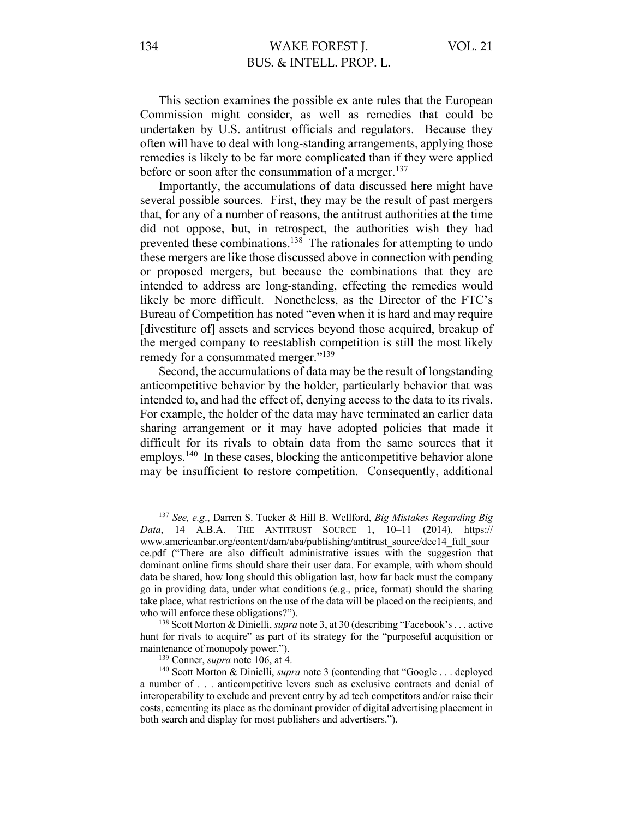This section examines the possible ex ante rules that the European Commission might consider, as well as remedies that could be undertaken by U.S. antitrust officials and regulators. Because they often will have to deal with long-standing arrangements, applying those remedies is likely to be far more complicated than if they were applied before or soon after the consummation of a merger.<sup>137</sup>

Importantly, the accumulations of data discussed here might have several possible sources. First, they may be the result of past mergers that, for any of a number of reasons, the antitrust authorities at the time did not oppose, but, in retrospect, the authorities wish they had prevented these combinations.<sup>138</sup> The rationales for attempting to undo these mergers are like those discussed above in connection with pending or proposed mergers, but because the combinations that they are intended to address are long-standing, effecting the remedies would likely be more difficult. Nonetheless, as the Director of the FTC's Bureau of Competition has noted "even when it is hard and may require [divestiture of] assets and services beyond those acquired, breakup of the merged company to reestablish competition is still the most likely remedy for a consummated merger."<sup>139</sup>

Second, the accumulations of data may be the result of longstanding anticompetitive behavior by the holder, particularly behavior that was intended to, and had the effect of, denying access to the data to its rivals. For example, the holder of the data may have terminated an earlier data sharing arrangement or it may have adopted policies that made it difficult for its rivals to obtain data from the same sources that it employs.<sup>140</sup> In these cases, blocking the anticompetitive behavior alone may be insufficient to restore competition. Consequently, additional

<sup>137</sup> *See, e.g*., Darren S. Tucker & Hill B. Wellford, *Big Mistakes Regarding Big Data*, 14 A.B.A. THE ANTITRUST SOURCE 1, 10–11 (2014), https:// www.americanbar.org/content/dam/aba/publishing/antitrust\_source/dec14\_full\_sour ce.pdf ("There are also difficult administrative issues with the suggestion that dominant online firms should share their user data. For example, with whom should data be shared, how long should this obligation last, how far back must the company go in providing data, under what conditions (e.g., price, format) should the sharing take place, what restrictions on the use of the data will be placed on the recipients, and who will enforce these obligations?").<br><sup>138</sup> Scott Morton & Dinielli, *supra* note 3, at 30 (describing "Facebook's . . . active

hunt for rivals to acquire" as part of its strategy for the "purposeful acquisition or maintenance of monopoly power.").

<sup>139</sup> Conner, *supra* note 106, at 4.

<sup>&</sup>lt;sup>140</sup> Scott Morton & Dinielli, *supra* note 3 (contending that "Google . . . deployed a number of . . . anticompetitive levers such as exclusive contracts and denial of interoperability to exclude and prevent entry by ad tech competitors and/or raise their costs, cementing its place as the dominant provider of digital advertising placement in both search and display for most publishers and advertisers.").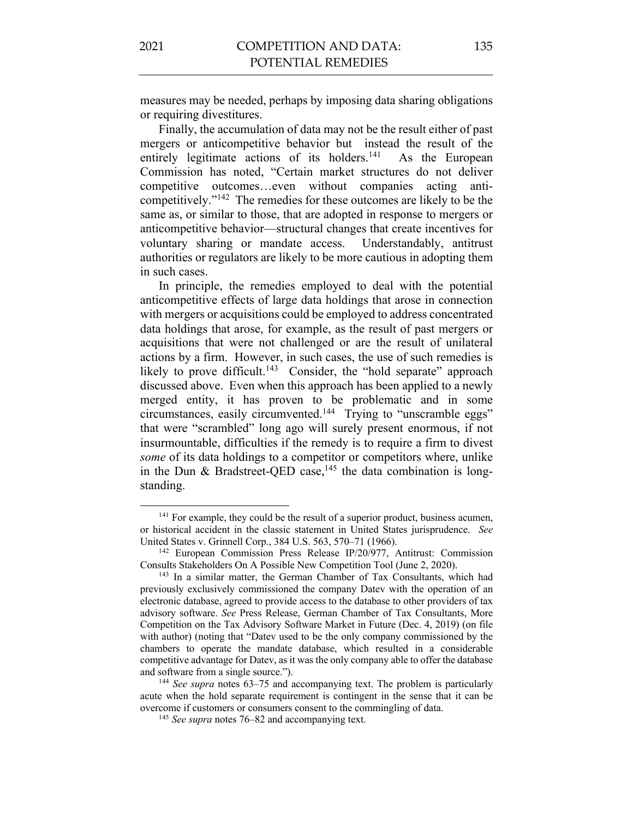measures may be needed, perhaps by imposing data sharing obligations or requiring divestitures.

Finally, the accumulation of data may not be the result either of past mergers or anticompetitive behavior but instead the result of the entirely legitimate actions of its holders.<sup>141</sup> As the European Commission has noted, "Certain market structures do not deliver competitive outcomes…even without companies acting anticompetitively."142 The remedies for these outcomes are likely to be the same as, or similar to those, that are adopted in response to mergers or anticompetitive behavior—structural changes that create incentives for voluntary sharing or mandate access. Understandably, antitrust authorities or regulators are likely to be more cautious in adopting them in such cases.

In principle, the remedies employed to deal with the potential anticompetitive effects of large data holdings that arose in connection with mergers or acquisitions could be employed to address concentrated data holdings that arose, for example, as the result of past mergers or acquisitions that were not challenged or are the result of unilateral actions by a firm. However, in such cases, the use of such remedies is likely to prove difficult.<sup>143</sup> Consider, the "hold separate" approach discussed above. Even when this approach has been applied to a newly merged entity, it has proven to be problematic and in some circumstances, easily circumvented.<sup>144</sup> Trying to "unscramble eggs" that were "scrambled" long ago will surely present enormous, if not insurmountable, difficulties if the remedy is to require a firm to divest *some* of its data holdings to a competitor or competitors where, unlike in the Dun & Bradstreet-QED case,<sup>145</sup> the data combination is longstanding.

<sup>&</sup>lt;sup>141</sup> For example, they could be the result of a superior product, business acumen, or historical accident in the classic statement in United States jurisprudence. *See* United States v. Grinnell Corp., 384 U.S. 563, 570–71 (1966).

<sup>142</sup> European Commission Press Release IP/20/977, Antitrust: Commission Consults Stakeholders On A Possible New Competition Tool (June 2, 2020).

<sup>&</sup>lt;sup>143</sup> In a similar matter, the German Chamber of Tax Consultants, which had previously exclusively commissioned the company Datev with the operation of an electronic database, agreed to provide access to the database to other providers of tax advisory software. *See* Press Release, German Chamber of Tax Consultants, More Competition on the Tax Advisory Software Market in Future (Dec. 4, 2019) (on file with author) (noting that "Datev used to be the only company commissioned by the chambers to operate the mandate database, which resulted in a considerable competitive advantage for Datev, as it was the only company able to offer the database and software from a single source."). 144 *See supra* notes 63–75 and accompanying text. The problem is particularly

acute when the hold separate requirement is contingent in the sense that it can be overcome if customers or consumers consent to the commingling of data.

<sup>145</sup> *See supra* notes 76–82 and accompanying text.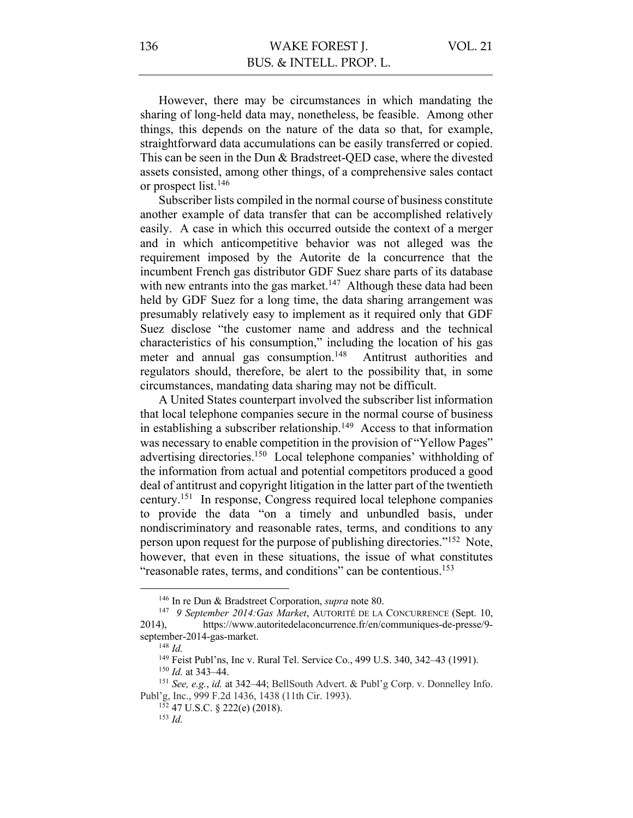However, there may be circumstances in which mandating the sharing of long-held data may, nonetheless, be feasible. Among other things, this depends on the nature of the data so that, for example, straightforward data accumulations can be easily transferred or copied. This can be seen in the Dun & Bradstreet-QED case, where the divested assets consisted, among other things, of a comprehensive sales contact or prospect list.146

Subscriber lists compiled in the normal course of business constitute another example of data transfer that can be accomplished relatively easily. A case in which this occurred outside the context of a merger and in which anticompetitive behavior was not alleged was the requirement imposed by the Autorite de la concurrence that the incumbent French gas distributor GDF Suez share parts of its database with new entrants into the gas market.<sup>147</sup> Although these data had been held by GDF Suez for a long time, the data sharing arrangement was presumably relatively easy to implement as it required only that GDF Suez disclose "the customer name and address and the technical characteristics of his consumption," including the location of his gas meter and annual gas consumption.<sup>148</sup> Antitrust authorities and regulators should, therefore, be alert to the possibility that, in some circumstances, mandating data sharing may not be difficult.

A United States counterpart involved the subscriber list information that local telephone companies secure in the normal course of business in establishing a subscriber relationship.<sup>149</sup> Access to that information was necessary to enable competition in the provision of "Yellow Pages" advertising directories.150 Local telephone companies' withholding of the information from actual and potential competitors produced a good deal of antitrust and copyright litigation in the latter part of the twentieth century.151 In response, Congress required local telephone companies to provide the data "on a timely and unbundled basis, under nondiscriminatory and reasonable rates, terms, and conditions to any person upon request for the purpose of publishing directories."152 Note, however, that even in these situations, the issue of what constitutes "reasonable rates, terms, and conditions" can be contentious.<sup>153</sup>

<sup>152</sup> 47 U.S.C. § 222(e) (2018).

<sup>146</sup> In re Dun & Bradstreet Corporation, *supra* note 80.

<sup>147</sup> *9 September 2014:Gas Market*, AUTORITÉ DE LA CONCURRENCE (Sept. 10, 2014), https://www.autoritedelaconcurrence.fr/en/communiques-de-presse/9 september-2014-gas-market.

<sup>148</sup> *Id.* 

<sup>149</sup> Feist Publ'ns, Inc v. Rural Tel. Service Co., 499 U.S. 340, 342–43 (1991).

<sup>150</sup> *Id.* at 343–44.

<sup>151</sup> *See, e.g.*, *id.* at 342–44; BellSouth Advert. & Publ'g Corp. v. Donnelley Info. Publ'g, Inc., 999 F.2d 1436, 1438 (11th Cir. 1993).

<sup>153</sup> *Id.*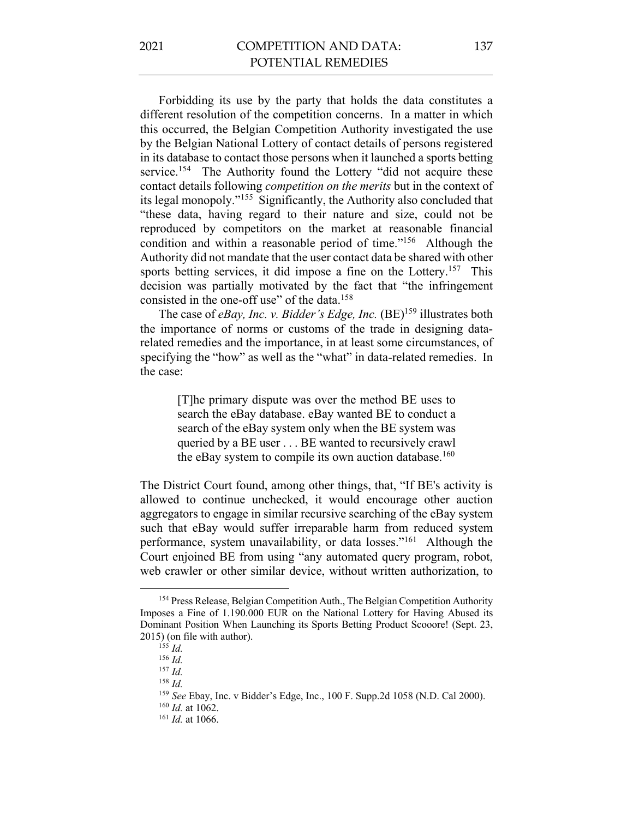Forbidding its use by the party that holds the data constitutes a different resolution of the competition concerns. In a matter in which this occurred, the Belgian Competition Authority investigated the use by the Belgian National Lottery of contact details of persons registered in its database to contact those persons when it launched a sports betting service.<sup>154</sup> The Authority found the Lottery "did not acquire these contact details following *competition on the merits* but in the context of its legal monopoly."155 Significantly, the Authority also concluded that "these data, having regard to their nature and size, could not be reproduced by competitors on the market at reasonable financial condition and within a reasonable period of time."156 Although the Authority did not mandate that the user contact data be shared with other sports betting services, it did impose a fine on the Lottery.<sup>157</sup> This decision was partially motivated by the fact that "the infringement consisted in the one-off use" of the data.158

The case of *eBay, Inc. v. Bidder's Edge, Inc.* (BE)<sup>159</sup> illustrates both the importance of norms or customs of the trade in designing datarelated remedies and the importance, in at least some circumstances, of specifying the "how" as well as the "what" in data-related remedies. In the case:

> [T]he primary dispute was over the method BE uses to search the eBay database. eBay wanted BE to conduct a search of the eBay system only when the BE system was queried by a BE user . . . BE wanted to recursively crawl the eBay system to compile its own auction database.<sup>160</sup>

The District Court found, among other things, that, "If BE's activity is allowed to continue unchecked, it would encourage other auction aggregators to engage in similar recursive searching of the eBay system such that eBay would suffer irreparable harm from reduced system performance, system unavailability, or data losses."161 Although the Court enjoined BE from using "any automated query program, robot, web crawler or other similar device, without written authorization, to

<sup>158</sup> *Id.*

<sup>&</sup>lt;sup>154</sup> Press Release, Belgian Competition Auth., The Belgian Competition Authority Imposes a Fine of 1.190.000 EUR on the National Lottery for Having Abused its Dominant Position When Launching its Sports Betting Product Scooore! (Sept. 23, 2015) (on file with author).

<sup>155</sup> *Id.*

<sup>156</sup> *Id.*

<sup>157</sup> *Id.*

<sup>159</sup> *See* Ebay, Inc. v Bidder's Edge, Inc., 100 F. Supp.2d 1058 (N.D. Cal 2000).

<sup>160</sup> *Id.* at 1062.

<sup>161</sup> *Id.* at 1066.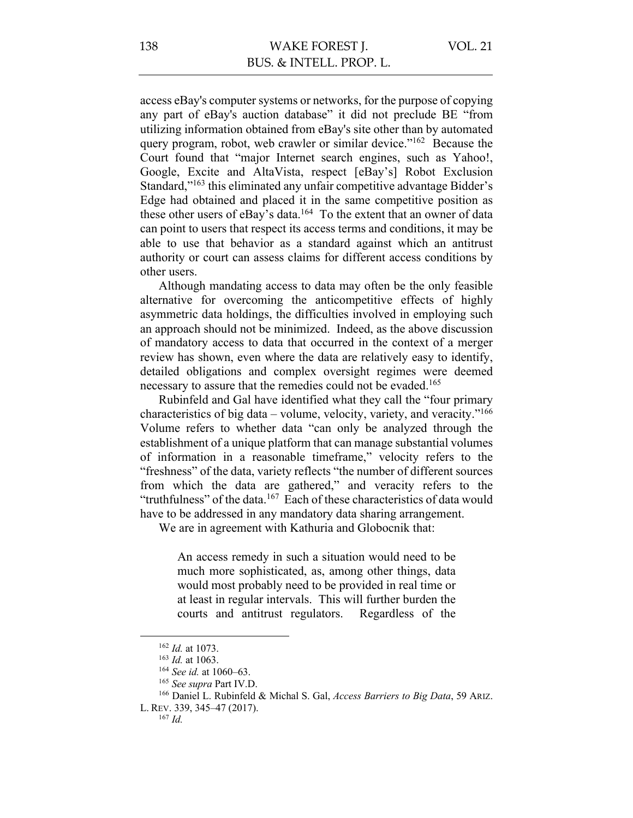access eBay's computer systems or networks, for the purpose of copying any part of eBay's auction database" it did not preclude BE "from utilizing information obtained from eBay's site other than by automated query program, robot, web crawler or similar device."162 Because the Court found that "major Internet search engines, such as Yahoo!, Google, Excite and AltaVista, respect [eBay's] Robot Exclusion Standard,"163 this eliminated any unfair competitive advantage Bidder's Edge had obtained and placed it in the same competitive position as these other users of eBay's data.<sup>164</sup> To the extent that an owner of data can point to users that respect its access terms and conditions, it may be able to use that behavior as a standard against which an antitrust authority or court can assess claims for different access conditions by other users.

Although mandating access to data may often be the only feasible alternative for overcoming the anticompetitive effects of highly asymmetric data holdings, the difficulties involved in employing such an approach should not be minimized. Indeed, as the above discussion of mandatory access to data that occurred in the context of a merger review has shown, even where the data are relatively easy to identify, detailed obligations and complex oversight regimes were deemed necessary to assure that the remedies could not be evaded.<sup>165</sup>

Rubinfeld and Gal have identified what they call the "four primary characteristics of big data – volume, velocity, variety, and veracity."166 Volume refers to whether data "can only be analyzed through the establishment of a unique platform that can manage substantial volumes of information in a reasonable timeframe," velocity refers to the "freshness" of the data, variety reflects "the number of different sources from which the data are gathered," and veracity refers to the "truthfulness" of the data.<sup>167</sup> Each of these characteristics of data would have to be addressed in any mandatory data sharing arrangement.

We are in agreement with Kathuria and Globocnik that:

An access remedy in such a situation would need to be much more sophisticated, as, among other things, data would most probably need to be provided in real time or at least in regular intervals. This will further burden the courts and antitrust regulators. Regardless of the

<sup>162</sup> *Id.* at 1073.

<sup>163</sup> *Id.* at 1063.

<sup>164</sup> *See id.* at 1060–63.

<sup>165</sup> *See supra* Part IV.D.

<sup>166</sup> Daniel L. Rubinfeld & Michal S. Gal, *Access Barriers to Big Data*, 59 ARIZ.

L. REV. 339, 345–47 (2017). 167 *Id.*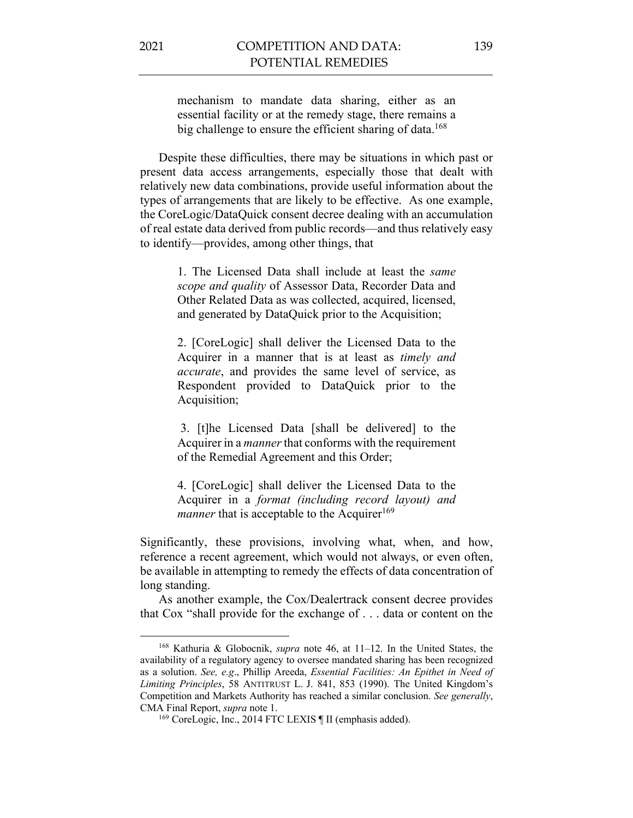mechanism to mandate data sharing, either as an essential facility or at the remedy stage, there remains a big challenge to ensure the efficient sharing of data.<sup>168</sup>

Despite these difficulties, there may be situations in which past or present data access arrangements, especially those that dealt with relatively new data combinations, provide useful information about the types of arrangements that are likely to be effective. As one example, the CoreLogic/DataQuick consent decree dealing with an accumulation of real estate data derived from public records—and thus relatively easy to identify—provides, among other things, that

> 1. The Licensed Data shall include at least the *same scope and quality* of Assessor Data, Recorder Data and Other Related Data as was collected, acquired, licensed, and generated by DataQuick prior to the Acquisition;

> 2. [CoreLogic] shall deliver the Licensed Data to the Acquirer in a manner that is at least as *timely and accurate*, and provides the same level of service, as Respondent provided to DataQuick prior to the Acquisition;

> 3. [t]he Licensed Data [shall be delivered] to the Acquirer in a *manner*that conforms with the requirement of the Remedial Agreement and this Order;

> 4. [CoreLogic] shall deliver the Licensed Data to the Acquirer in a *format (including record layout) and manner* that is acceptable to the Acquirer<sup>169</sup>

Significantly, these provisions, involving what, when, and how, reference a recent agreement, which would not always, or even often, be available in attempting to remedy the effects of data concentration of long standing.

As another example, the Cox/Dealertrack consent decree provides that Cox "shall provide for the exchange of . . . data or content on the

<sup>168</sup> Kathuria & Globocnik, *supra* note 46, at 11–12. In the United States, the availability of a regulatory agency to oversee mandated sharing has been recognized as a solution. *See, e.g*., Phillip Areeda, *Essential Facilities: An Epithet in Need of Limiting Principles*, 58 ANTITRUST L. J. 841, 853 (1990). The United Kingdom's Competition and Markets Authority has reached a similar conclusion. *See generally*, CMA Final Report, *supra* note 1.

<sup>&</sup>lt;sup>169</sup> CoreLogic, Inc., 2014 FTC LEXIS ¶ II (emphasis added).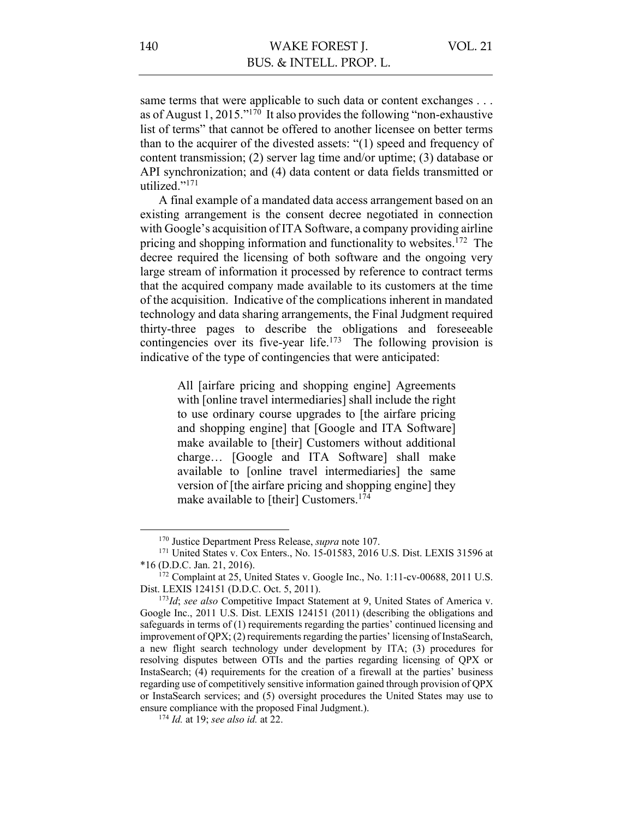same terms that were applicable to such data or content exchanges . . . as of August 1, 2015."<sup>170</sup> It also provides the following "non-exhaustive" list of terms" that cannot be offered to another licensee on better terms than to the acquirer of the divested assets: "(1) speed and frequency of content transmission; (2) server lag time and/or uptime; (3) database or API synchronization; and (4) data content or data fields transmitted or utilized."171

A final example of a mandated data access arrangement based on an existing arrangement is the consent decree negotiated in connection with Google's acquisition of ITA Software, a company providing airline pricing and shopping information and functionality to websites.<sup>172</sup> The decree required the licensing of both software and the ongoing very large stream of information it processed by reference to contract terms that the acquired company made available to its customers at the time of the acquisition. Indicative of the complications inherent in mandated technology and data sharing arrangements, the Final Judgment required thirty-three pages to describe the obligations and foreseeable contingencies over its five-year life.<sup>173</sup> The following provision is indicative of the type of contingencies that were anticipated:

> All [airfare pricing and shopping engine] Agreements with [online travel intermediaries] shall include the right to use ordinary course upgrades to [the airfare pricing and shopping engine] that [Google and ITA Software] make available to [their] Customers without additional charge… [Google and ITA Software] shall make available to [online travel intermediaries] the same version of [the airfare pricing and shopping engine] they make available to [their] Customers.<sup>174</sup>

<sup>170</sup> Justice Department Press Release, *supra* note 107.

<sup>171</sup> United States v. Cox Enters., No. 15-01583, 2016 U.S. Dist. LEXIS 31596 at \*16 (D.D.C. Jan. 21, 2016).

<sup>&</sup>lt;sup>172</sup> Complaint at 25, United States v. Google Inc., No. 1:11-cv-00688, 2011 U.S. Dist. LEXIS 124151 (D.D.C. Oct. 5, 2011).

<sup>173</sup>*Id*; *see also* Competitive Impact Statement at 9, United States of America v. Google Inc., 2011 U.S. Dist. LEXIS 124151 (2011) (describing the obligations and safeguards in terms of (1) requirements regarding the parties' continued licensing and improvement of QPX; (2) requirements regarding the parties' licensing of InstaSearch, a new flight search technology under development by ITA; (3) procedures for resolving disputes between OTIs and the parties regarding licensing of QPX or InstaSearch; (4) requirements for the creation of a firewall at the parties' business regarding use of competitively sensitive information gained through provision of QPX or InstaSearch services; and (5) oversight procedures the United States may use to ensure compliance with the proposed Final Judgment.).

<sup>174</sup> *Id.* at 19; *see also id.* at 22.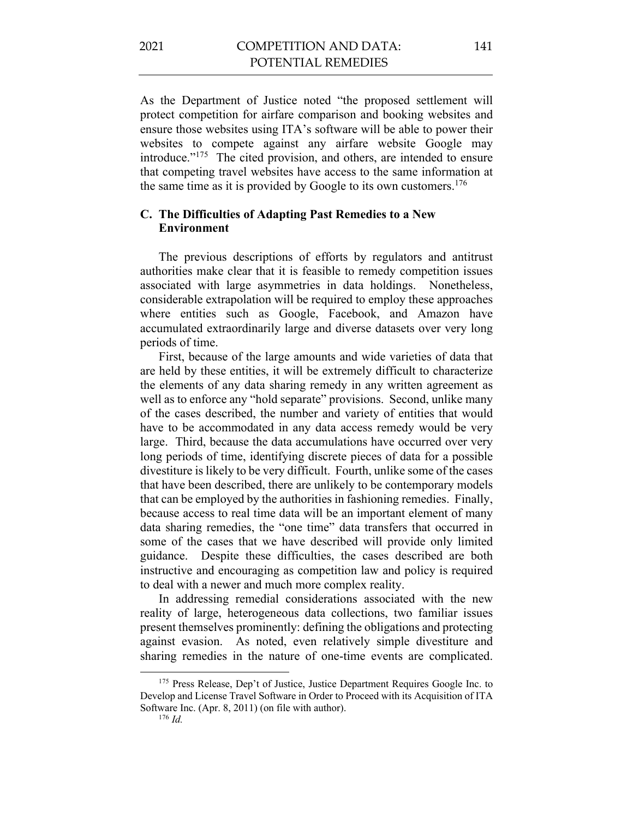As the Department of Justice noted "the proposed settlement will protect competition for airfare comparison and booking websites and ensure those websites using ITA's software will be able to power their websites to compete against any airfare website Google may introduce."175 The cited provision, and others, are intended to ensure that competing travel websites have access to the same information at the same time as it is provided by Google to its own customers.<sup>176</sup>

## **C. The Difficulties of Adapting Past Remedies to a New Environment**

The previous descriptions of efforts by regulators and antitrust authorities make clear that it is feasible to remedy competition issues associated with large asymmetries in data holdings. Nonetheless, considerable extrapolation will be required to employ these approaches where entities such as Google, Facebook, and Amazon have accumulated extraordinarily large and diverse datasets over very long periods of time.

First, because of the large amounts and wide varieties of data that are held by these entities, it will be extremely difficult to characterize the elements of any data sharing remedy in any written agreement as well as to enforce any "hold separate" provisions. Second, unlike many of the cases described, the number and variety of entities that would have to be accommodated in any data access remedy would be very large. Third, because the data accumulations have occurred over very long periods of time, identifying discrete pieces of data for a possible divestiture is likely to be very difficult. Fourth, unlike some of the cases that have been described, there are unlikely to be contemporary models that can be employed by the authorities in fashioning remedies. Finally, because access to real time data will be an important element of many data sharing remedies, the "one time" data transfers that occurred in some of the cases that we have described will provide only limited guidance. Despite these difficulties, the cases described are both instructive and encouraging as competition law and policy is required to deal with a newer and much more complex reality.

In addressing remedial considerations associated with the new reality of large, heterogeneous data collections, two familiar issues present themselves prominently: defining the obligations and protecting against evasion. As noted, even relatively simple divestiture and sharing remedies in the nature of one-time events are complicated.

<sup>&</sup>lt;sup>175</sup> Press Release, Dep't of Justice, Justice Department Requires Google Inc. to Develop and License Travel Software in Order to Proceed with its Acquisition of ITA Software Inc. (Apr. 8, 2011) (on file with author).

<sup>176</sup> *Id.*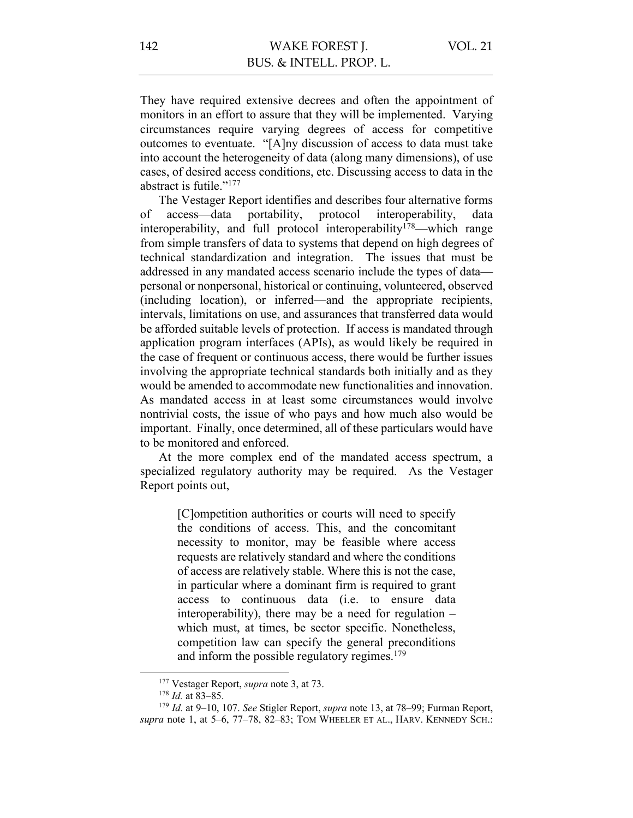They have required extensive decrees and often the appointment of monitors in an effort to assure that they will be implemented. Varying circumstances require varying degrees of access for competitive outcomes to eventuate. "[A]ny discussion of access to data must take into account the heterogeneity of data (along many dimensions), of use cases, of desired access conditions, etc. Discussing access to data in the abstract is futile."177

The Vestager Report identifies and describes four alternative forms of access—data portability, protocol interoperability, data interoperability, and full protocol interoperability<sup>178</sup>—which range from simple transfers of data to systems that depend on high degrees of technical standardization and integration. The issues that must be addressed in any mandated access scenario include the types of data personal or nonpersonal, historical or continuing, volunteered, observed (including location), or inferred—and the appropriate recipients, intervals, limitations on use, and assurances that transferred data would be afforded suitable levels of protection. If access is mandated through application program interfaces (APIs), as would likely be required in the case of frequent or continuous access, there would be further issues involving the appropriate technical standards both initially and as they would be amended to accommodate new functionalities and innovation. As mandated access in at least some circumstances would involve nontrivial costs, the issue of who pays and how much also would be important. Finally, once determined, all of these particulars would have to be monitored and enforced.

At the more complex end of the mandated access spectrum, a specialized regulatory authority may be required. As the Vestager Report points out,

> [C]ompetition authorities or courts will need to specify the conditions of access. This, and the concomitant necessity to monitor, may be feasible where access requests are relatively standard and where the conditions of access are relatively stable. Where this is not the case, in particular where a dominant firm is required to grant access to continuous data (i.e. to ensure data interoperability), there may be a need for regulation – which must, at times, be sector specific. Nonetheless, competition law can specify the general preconditions and inform the possible regulatory regimes.<sup>179</sup>

<sup>177</sup> Vestager Report, *supra* note 3, at 73.

<sup>178</sup> *Id.* at 83–85.

<sup>179</sup> *Id.* at 9–10, 107. *See* Stigler Report, *supra* note 13, at 78–99; Furman Report, *supra* note 1, at 5–6, 77–78, 82–83; TOM WHEELER ET AL., HARV. KENNEDY SCH.: